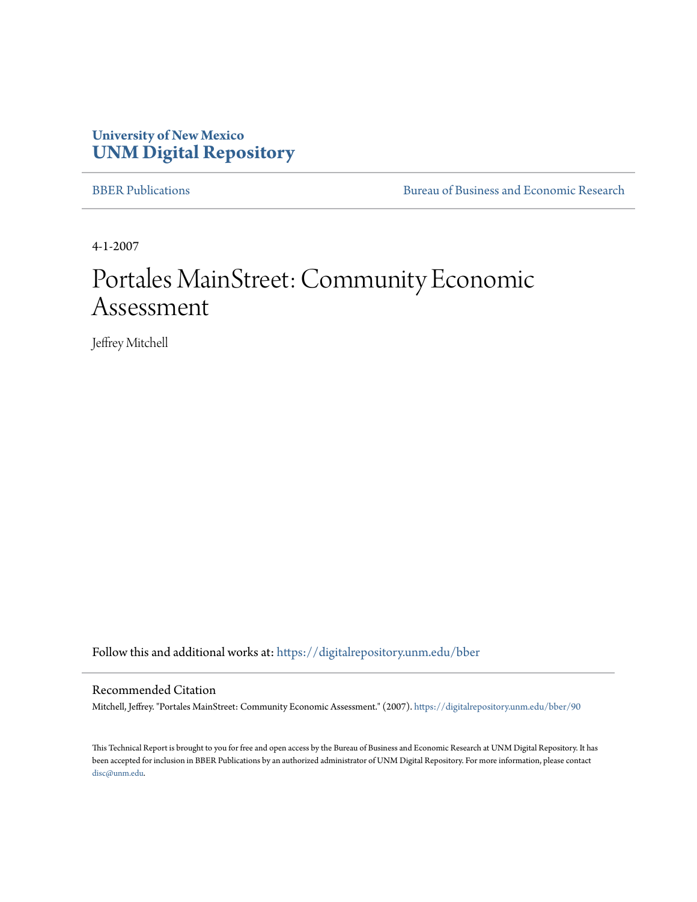## **University of New Mexico [UNM Digital Repository](https://digitalrepository.unm.edu?utm_source=digitalrepository.unm.edu%2Fbber%2F90&utm_medium=PDF&utm_campaign=PDFCoverPages)**

[BBER Publications](https://digitalrepository.unm.edu/bber?utm_source=digitalrepository.unm.edu%2Fbber%2F90&utm_medium=PDF&utm_campaign=PDFCoverPages) [Bureau of Business and Economic Research](https://digitalrepository.unm.edu/business_economic_research?utm_source=digitalrepository.unm.edu%2Fbber%2F90&utm_medium=PDF&utm_campaign=PDFCoverPages)

4-1-2007

## Portales MainStreet: Community Economic Assessment

Jeffrey Mitchell

Follow this and additional works at: [https://digitalrepository.unm.edu/bber](https://digitalrepository.unm.edu/bber?utm_source=digitalrepository.unm.edu%2Fbber%2F90&utm_medium=PDF&utm_campaign=PDFCoverPages)

#### Recommended Citation

Mitchell, Jeffrey. "Portales MainStreet: Community Economic Assessment." (2007). [https://digitalrepository.unm.edu/bber/90](https://digitalrepository.unm.edu/bber/90?utm_source=digitalrepository.unm.edu%2Fbber%2F90&utm_medium=PDF&utm_campaign=PDFCoverPages)

This Technical Report is brought to you for free and open access by the Bureau of Business and Economic Research at UNM Digital Repository. It has been accepted for inclusion in BBER Publications by an authorized administrator of UNM Digital Repository. For more information, please contact [disc@unm.edu](mailto:disc@unm.edu).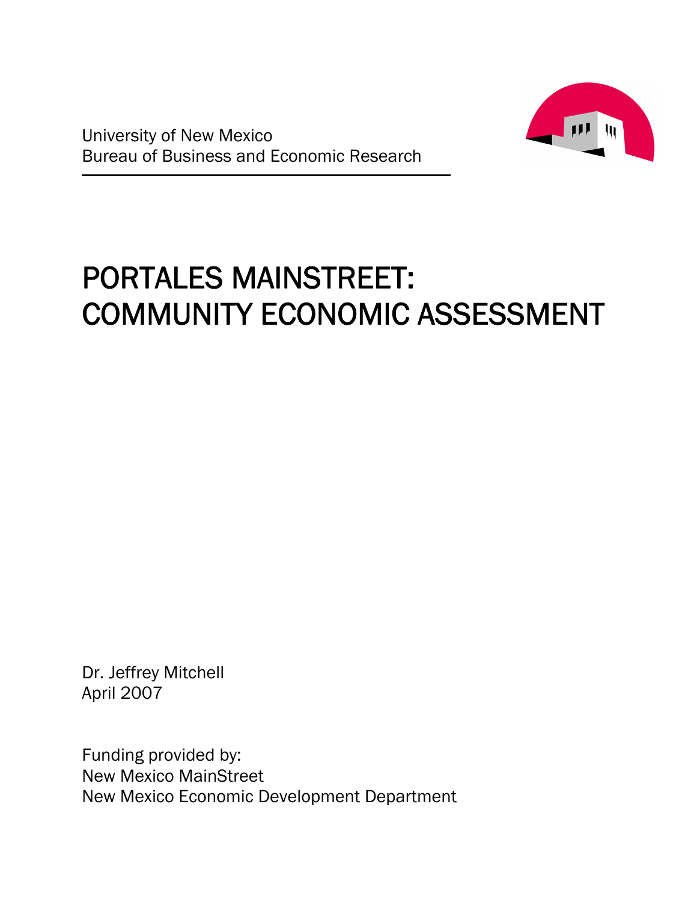

# PORTALES MAINSTREET: COMMUNITY ECONOMIC ASSESSMENT

Dr. Jeffrey Mitchell April 2007

Funding provided by: New Mexico MainStreet New Mexico Economic Development Department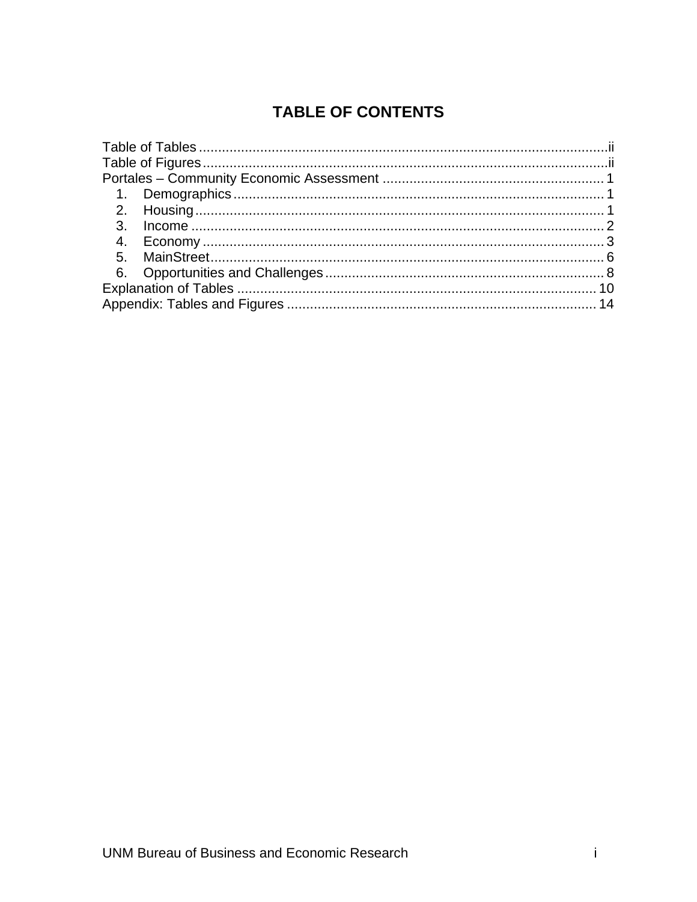## **TABLE OF CONTENTS**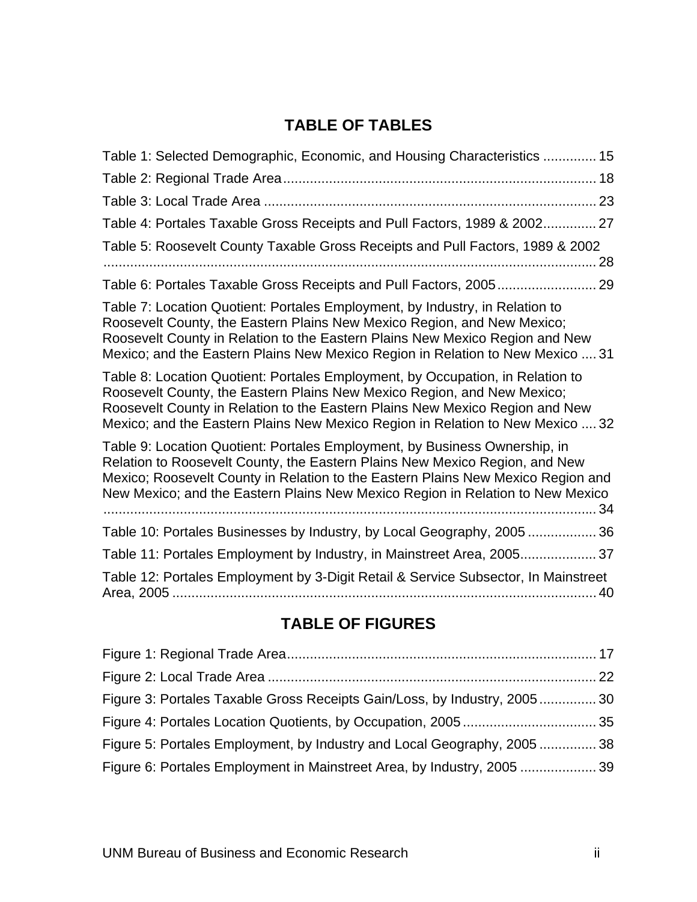## **TABLE OF TABLES**

| Table 1: Selected Demographic, Economic, and Housing Characteristics  15                                                                                                                                                                                                                                                        |  |
|---------------------------------------------------------------------------------------------------------------------------------------------------------------------------------------------------------------------------------------------------------------------------------------------------------------------------------|--|
|                                                                                                                                                                                                                                                                                                                                 |  |
|                                                                                                                                                                                                                                                                                                                                 |  |
| Table 4: Portales Taxable Gross Receipts and Pull Factors, 1989 & 2002 27                                                                                                                                                                                                                                                       |  |
| Table 5: Roosevelt County Taxable Gross Receipts and Pull Factors, 1989 & 2002<br>. 28                                                                                                                                                                                                                                          |  |
| Table 6: Portales Taxable Gross Receipts and Pull Factors, 2005 29                                                                                                                                                                                                                                                              |  |
| Table 7: Location Quotient: Portales Employment, by Industry, in Relation to<br>Roosevelt County, the Eastern Plains New Mexico Region, and New Mexico;<br>Roosevelt County in Relation to the Eastern Plains New Mexico Region and New<br>Mexico; and the Eastern Plains New Mexico Region in Relation to New Mexico  31       |  |
| Table 8: Location Quotient: Portales Employment, by Occupation, in Relation to<br>Roosevelt County, the Eastern Plains New Mexico Region, and New Mexico;<br>Roosevelt County in Relation to the Eastern Plains New Mexico Region and New<br>Mexico; and the Eastern Plains New Mexico Region in Relation to New Mexico  32     |  |
| Table 9: Location Quotient: Portales Employment, by Business Ownership, in<br>Relation to Roosevelt County, the Eastern Plains New Mexico Region, and New<br>Mexico; Roosevelt County in Relation to the Eastern Plains New Mexico Region and<br>New Mexico; and the Eastern Plains New Mexico Region in Relation to New Mexico |  |
| Table 10: Portales Businesses by Industry, by Local Geography, 2005  36                                                                                                                                                                                                                                                         |  |
| Table 11: Portales Employment by Industry, in Mainstreet Area, 2005 37                                                                                                                                                                                                                                                          |  |
| Table 12: Portales Employment by 3-Digit Retail & Service Subsector, In Mainstreet<br>40                                                                                                                                                                                                                                        |  |

## **TABLE OF FIGURES**

| Figure 3: Portales Taxable Gross Receipts Gain/Loss, by Industry, 2005 30 |  |
|---------------------------------------------------------------------------|--|
|                                                                           |  |
| Figure 5: Portales Employment, by Industry and Local Geography, 2005  38  |  |
| Figure 6: Portales Employment in Mainstreet Area, by Industry, 2005  39   |  |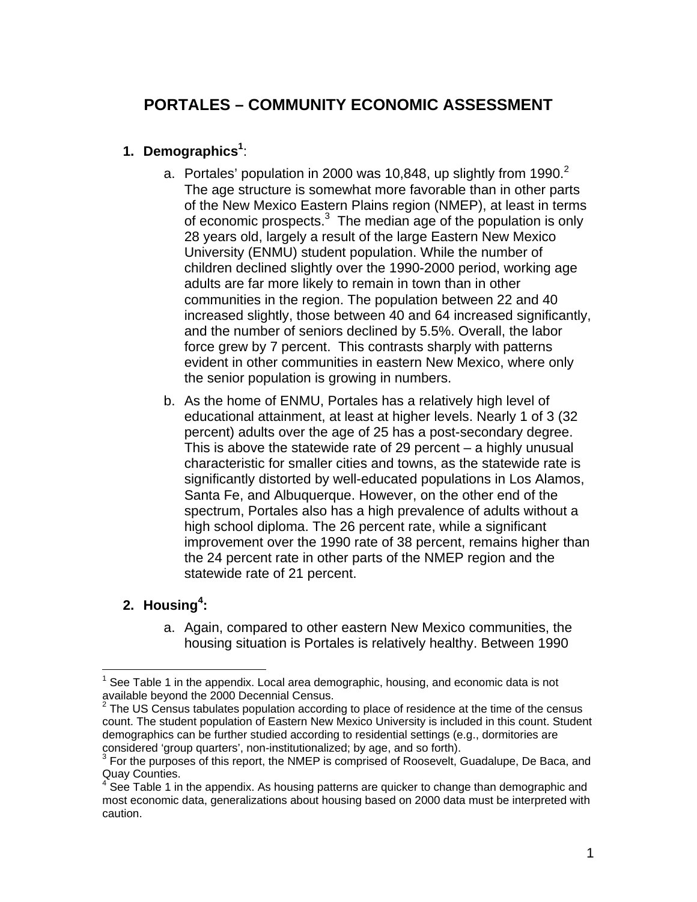## **PORTALES – COMMUNITY ECONOMIC ASSESSMENT**

#### **1. Demographics<sup>1</sup>** :

- a. Portales' population in 2000 was 10,848, up slightly from 1990.<sup>2</sup> The age structure is somewhat more favorable than in other parts of the New Mexico Eastern Plains region (NMEP), at least in terms of economic prospects. $3$  The median age of the population is only 28 years old, largely a result of the large Eastern New Mexico University (ENMU) student population. While the number of children declined slightly over the 1990-2000 period, working age adults are far more likely to remain in town than in other communities in the region. The population between 22 and 40 increased slightly, those between 40 and 64 increased significantly, and the number of seniors declined by 5.5%. Overall, the labor force grew by 7 percent. This contrasts sharply with patterns evident in other communities in eastern New Mexico, where only the senior population is growing in numbers.
- b. As the home of ENMU, Portales has a relatively high level of educational attainment, at least at higher levels. Nearly 1 of 3 (32 percent) adults over the age of 25 has a post-secondary degree. This is above the statewide rate of 29 percent – a highly unusual characteristic for smaller cities and towns, as the statewide rate is significantly distorted by well-educated populations in Los Alamos, Santa Fe, and Albuquerque. However, on the other end of the spectrum, Portales also has a high prevalence of adults without a high school diploma. The 26 percent rate, while a significant improvement over the 1990 rate of 38 percent, remains higher than the 24 percent rate in other parts of the NMEP region and the statewide rate of 21 percent.

#### **2. Housing<sup>4</sup> :**

 $\overline{a}$ 

a. Again, compared to other eastern New Mexico communities, the housing situation is Portales is relatively healthy. Between 1990

<sup>1</sup> See Table 1 in the appendix. Local area demographic, housing, and economic data is not available beyond the 2000 Decennial Census.

 $2^2$  The US Census tabulates population according to place of residence at the time of the census count. The student population of Eastern New Mexico University is included in this count. Student demographics can be further studied according to residential settings (e.g., dormitories are considered 'group quarters', non-institutionalized; by age, and so forth). 3

 $3$  For the purposes of this report, the NMEP is comprised of Roosevelt, Guadalupe, De Baca, and Quay Counties.

 $4$  See Table 1 in the appendix. As housing patterns are quicker to change than demographic and most economic data, generalizations about housing based on 2000 data must be interpreted with caution.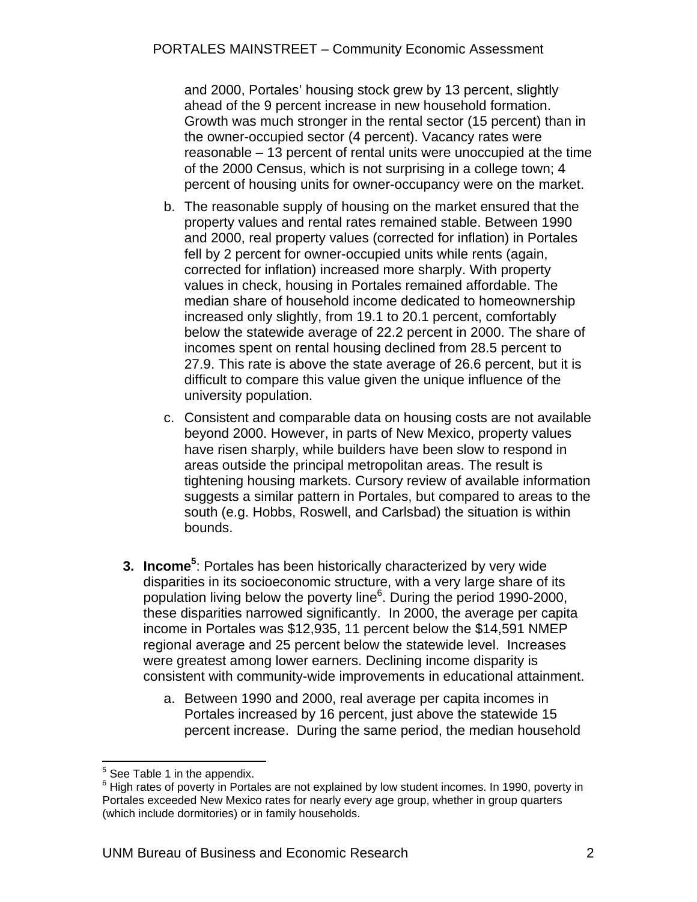and 2000, Portales' housing stock grew by 13 percent, slightly ahead of the 9 percent increase in new household formation. Growth was much stronger in the rental sector (15 percent) than in the owner-occupied sector (4 percent). Vacancy rates were reasonable – 13 percent of rental units were unoccupied at the time of the 2000 Census, which is not surprising in a college town; 4 percent of housing units for owner-occupancy were on the market.

- b. The reasonable supply of housing on the market ensured that the property values and rental rates remained stable. Between 1990 and 2000, real property values (corrected for inflation) in Portales fell by 2 percent for owner-occupied units while rents (again, corrected for inflation) increased more sharply. With property values in check, housing in Portales remained affordable. The median share of household income dedicated to homeownership increased only slightly, from 19.1 to 20.1 percent, comfortably below the statewide average of 22.2 percent in 2000. The share of incomes spent on rental housing declined from 28.5 percent to 27.9. This rate is above the state average of 26.6 percent, but it is difficult to compare this value given the unique influence of the university population.
- c. Consistent and comparable data on housing costs are not available beyond 2000. However, in parts of New Mexico, property values have risen sharply, while builders have been slow to respond in areas outside the principal metropolitan areas. The result is tightening housing markets. Cursory review of available information suggests a similar pattern in Portales, but compared to areas to the south (e.g. Hobbs, Roswell, and Carlsbad) the situation is within bounds.
- **3. Income**<sup>5</sup>: Portales has been historically characterized by very wide disparities in its socioeconomic structure, with a very large share of its population living below the poverty line<sup>6</sup>. During the period 1990-2000, these disparities narrowed significantly. In 2000, the average per capita income in Portales was \$12,935, 11 percent below the \$14,591 NMEP regional average and 25 percent below the statewide level. Increases were greatest among lower earners. Declining income disparity is consistent with community-wide improvements in educational attainment.
	- a. Between 1990 and 2000, real average per capita incomes in Portales increased by 16 percent, just above the statewide 15 percent increase. During the same period, the median household

<sup>&</sup>lt;u>Fallen 2008</u><br>The See Table 1 in the appendix.

<sup>&</sup>lt;sup>6</sup> High rates of poverty in Portales are not explained by low student incomes. In 1990, poverty in Portales exceeded New Mexico rates for nearly every age group, whether in group quarters (which include dormitories) or in family households.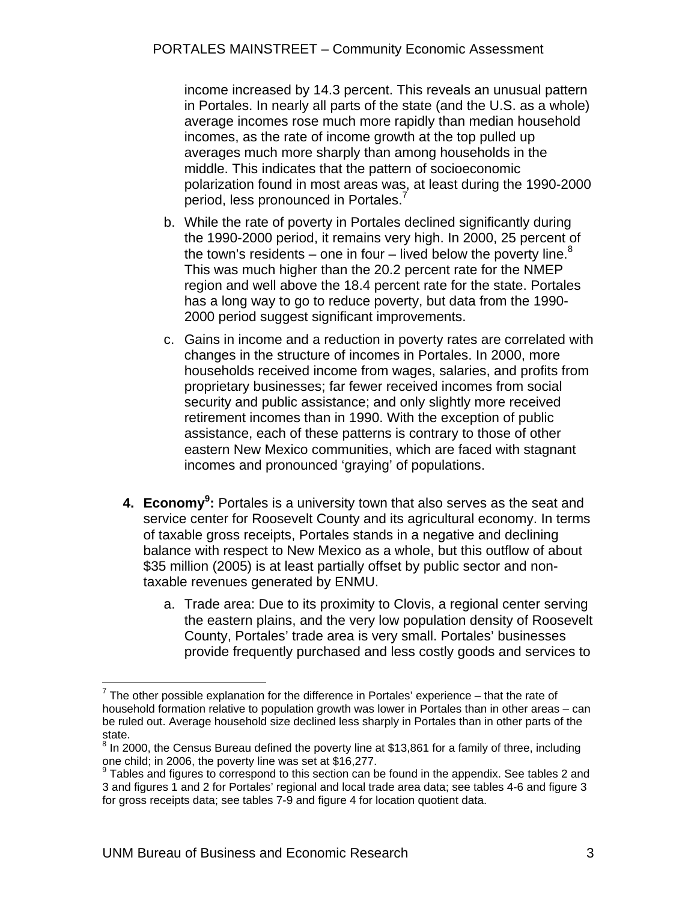income increased by 14.3 percent. This reveals an unusual pattern in Portales. In nearly all parts of the state (and the U.S. as a whole) average incomes rose much more rapidly than median household incomes, as the rate of income growth at the top pulled up averages much more sharply than among households in the middle. This indicates that the pattern of socioeconomic polarization found in most areas was, at least during the 1990-2000 period, less pronounced in Portales.

- b. While the rate of poverty in Portales declined significantly during the 1990-2000 period, it remains very high. In 2000, 25 percent of the town's residents – one in four – lived below the poverty line.<sup>8</sup> This was much higher than the 20.2 percent rate for the NMEP region and well above the 18.4 percent rate for the state. Portales has a long way to go to reduce poverty, but data from the 1990- 2000 period suggest significant improvements.
- c. Gains in income and a reduction in poverty rates are correlated with changes in the structure of incomes in Portales. In 2000, more households received income from wages, salaries, and profits from proprietary businesses; far fewer received incomes from social security and public assistance; and only slightly more received retirement incomes than in 1990. With the exception of public assistance, each of these patterns is contrary to those of other eastern New Mexico communities, which are faced with stagnant incomes and pronounced 'graying' of populations.
- **4. Economy<sup>9</sup>:** Portales is a university town that also serves as the seat and service center for Roosevelt County and its agricultural economy. In terms of taxable gross receipts, Portales stands in a negative and declining balance with respect to New Mexico as a whole, but this outflow of about \$35 million (2005) is at least partially offset by public sector and nontaxable revenues generated by ENMU.
	- a. Trade area: Due to its proximity to Clovis, a regional center serving the eastern plains, and the very low population density of Roosevelt County, Portales' trade area is very small. Portales' businesses provide frequently purchased and less costly goods and services to

<sup>1</sup>  $7$  The other possible explanation for the difference in Portales' experience – that the rate of household formation relative to population growth was lower in Portales than in other areas – can be ruled out. Average household size declined less sharply in Portales than in other parts of the state.

 $^8$  In 2000, the Census Bureau defined the poverty line at \$13,861 for a family of three, including one child; in 2006, the poverty line was set at \$16,277.

 $9$  Tables and figures to correspond to this section can be found in the appendix. See tables 2 and 3 and figures 1 and 2 for Portales' regional and local trade area data; see tables 4-6 and figure 3 for gross receipts data; see tables 7-9 and figure 4 for location quotient data.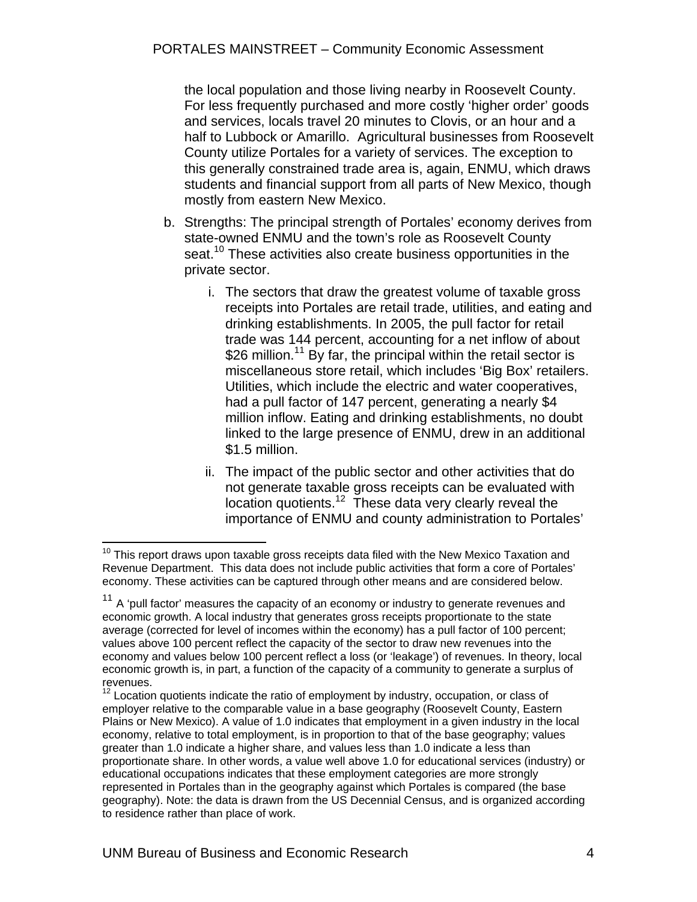the local population and those living nearby in Roosevelt County. For less frequently purchased and more costly 'higher order' goods and services, locals travel 20 minutes to Clovis, or an hour and a half to Lubbock or Amarillo. Agricultural businesses from Roosevelt County utilize Portales for a variety of services. The exception to this generally constrained trade area is, again, ENMU, which draws students and financial support from all parts of New Mexico, though mostly from eastern New Mexico.

- b. Strengths: The principal strength of Portales' economy derives from state-owned ENMU and the town's role as Roosevelt County seat.<sup>10</sup> These activities also create business opportunities in the private sector.
	- i. The sectors that draw the greatest volume of taxable gross receipts into Portales are retail trade, utilities, and eating and drinking establishments. In 2005, the pull factor for retail trade was 144 percent, accounting for a net inflow of about \$26 million.<sup>11</sup> By far, the principal within the retail sector is miscellaneous store retail, which includes 'Big Box' retailers. Utilities, which include the electric and water cooperatives, had a pull factor of 147 percent, generating a nearly \$4 million inflow. Eating and drinking establishments, no doubt linked to the large presence of ENMU, drew in an additional \$1.5 million.
	- ii. The impact of the public sector and other activities that do not generate taxable gross receipts can be evaluated with location quotients.<sup>12</sup> These data very clearly reveal the importance of ENMU and county administration to Portales'

 $\overline{a}$  $10$  This report draws upon taxable gross receipts data filed with the New Mexico Taxation and Revenue Department. This data does not include public activities that form a core of Portales' economy. These activities can be captured through other means and are considered below.

 $11$  A 'pull factor' measures the capacity of an economy or industry to generate revenues and economic growth. A local industry that generates gross receipts proportionate to the state average (corrected for level of incomes within the economy) has a pull factor of 100 percent; values above 100 percent reflect the capacity of the sector to draw new revenues into the economy and values below 100 percent reflect a loss (or 'leakage') of revenues. In theory, local economic growth is, in part, a function of the capacity of a community to generate a surplus of revenues.

 $12$  Location quotients indicate the ratio of employment by industry, occupation, or class of employer relative to the comparable value in a base geography (Roosevelt County, Eastern Plains or New Mexico). A value of 1.0 indicates that employment in a given industry in the local economy, relative to total employment, is in proportion to that of the base geography; values greater than 1.0 indicate a higher share, and values less than 1.0 indicate a less than proportionate share. In other words, a value well above 1.0 for educational services (industry) or educational occupations indicates that these employment categories are more strongly represented in Portales than in the geography against which Portales is compared (the base geography). Note: the data is drawn from the US Decennial Census, and is organized according to residence rather than place of work.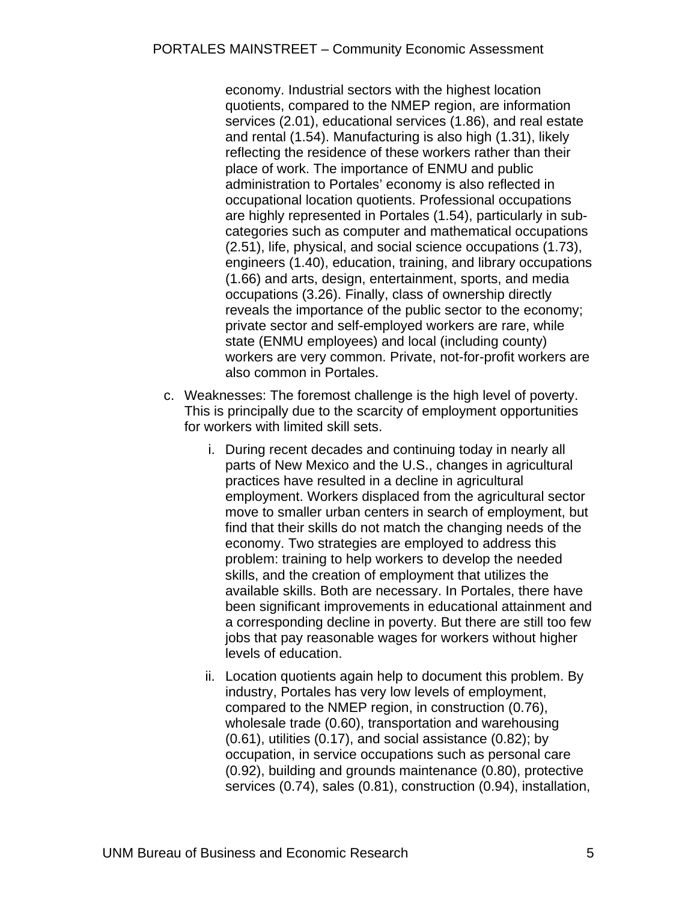economy. Industrial sectors with the highest location quotients, compared to the NMEP region, are information services (2.01), educational services (1.86), and real estate and rental (1.54). Manufacturing is also high (1.31), likely reflecting the residence of these workers rather than their place of work. The importance of ENMU and public administration to Portales' economy is also reflected in occupational location quotients. Professional occupations are highly represented in Portales (1.54), particularly in subcategories such as computer and mathematical occupations (2.51), life, physical, and social science occupations (1.73), engineers (1.40), education, training, and library occupations (1.66) and arts, design, entertainment, sports, and media occupations (3.26). Finally, class of ownership directly reveals the importance of the public sector to the economy; private sector and self-employed workers are rare, while state (ENMU employees) and local (including county) workers are very common. Private, not-for-profit workers are also common in Portales.

- c. Weaknesses: The foremost challenge is the high level of poverty. This is principally due to the scarcity of employment opportunities for workers with limited skill sets.
	- i. During recent decades and continuing today in nearly all parts of New Mexico and the U.S., changes in agricultural practices have resulted in a decline in agricultural employment. Workers displaced from the agricultural sector move to smaller urban centers in search of employment, but find that their skills do not match the changing needs of the economy. Two strategies are employed to address this problem: training to help workers to develop the needed skills, and the creation of employment that utilizes the available skills. Both are necessary. In Portales, there have been significant improvements in educational attainment and a corresponding decline in poverty. But there are still too few jobs that pay reasonable wages for workers without higher levels of education.
	- ii. Location quotients again help to document this problem. By industry, Portales has very low levels of employment, compared to the NMEP region, in construction (0.76), wholesale trade (0.60), transportation and warehousing (0.61), utilities (0.17), and social assistance (0.82); by occupation, in service occupations such as personal care (0.92), building and grounds maintenance (0.80), protective services (0.74), sales (0.81), construction (0.94), installation,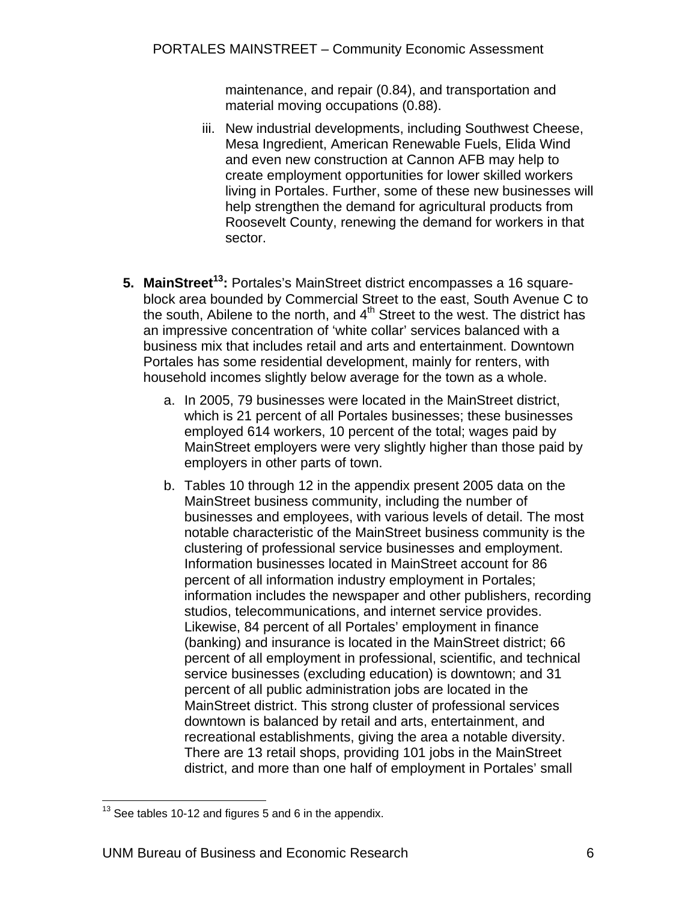maintenance, and repair (0.84), and transportation and material moving occupations (0.88).

- iii. New industrial developments, including Southwest Cheese, Mesa Ingredient, American Renewable Fuels, Elida Wind and even new construction at Cannon AFB may help to create employment opportunities for lower skilled workers living in Portales. Further, some of these new businesses will help strengthen the demand for agricultural products from Roosevelt County, renewing the demand for workers in that sector.
- **5. MainStreet<sup>13</sup>:** Portales's MainStreet district encompasses a 16 squareblock area bounded by Commercial Street to the east, South Avenue C to the south, Abilene to the north, and  $4<sup>th</sup>$  Street to the west. The district has an impressive concentration of 'white collar' services balanced with a business mix that includes retail and arts and entertainment. Downtown Portales has some residential development, mainly for renters, with household incomes slightly below average for the town as a whole.
	- a. In 2005, 79 businesses were located in the MainStreet district, which is 21 percent of all Portales businesses; these businesses employed 614 workers, 10 percent of the total; wages paid by MainStreet employers were very slightly higher than those paid by employers in other parts of town.
	- b. Tables 10 through 12 in the appendix present 2005 data on the MainStreet business community, including the number of businesses and employees, with various levels of detail. The most notable characteristic of the MainStreet business community is the clustering of professional service businesses and employment. Information businesses located in MainStreet account for 86 percent of all information industry employment in Portales; information includes the newspaper and other publishers, recording studios, telecommunications, and internet service provides. Likewise, 84 percent of all Portales' employment in finance (banking) and insurance is located in the MainStreet district; 66 percent of all employment in professional, scientific, and technical service businesses (excluding education) is downtown; and 31 percent of all public administration jobs are located in the MainStreet district. This strong cluster of professional services downtown is balanced by retail and arts, entertainment, and recreational establishments, giving the area a notable diversity. There are 13 retail shops, providing 101 jobs in the MainStreet district, and more than one half of employment in Portales' small

 $\overline{a}$  $13$  See tables 10-12 and figures 5 and 6 in the appendix.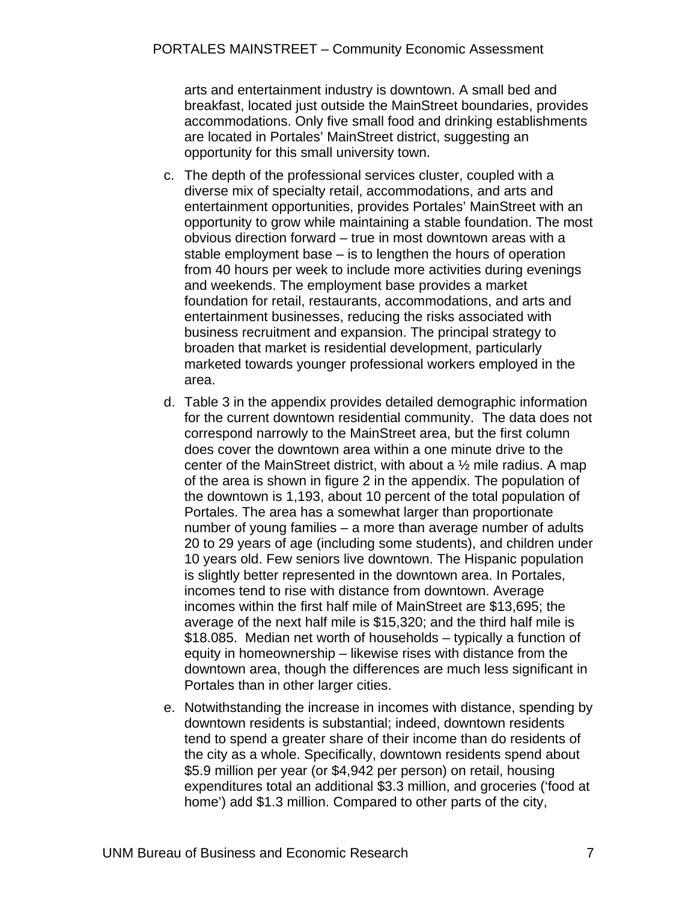arts and entertainment industry is downtown. A small bed and breakfast, located just outside the MainStreet boundaries, provides accommodations. Only five small food and drinking establishments are located in Portales' MainStreet district, suggesting an opportunity for this small university town.

- c. The depth of the professional services cluster, coupled with a diverse mix of specialty retail, accommodations, and arts and entertainment opportunities, provides Portales' MainStreet with an opportunity to grow while maintaining a stable foundation. The most obvious direction forward – true in most downtown areas with a stable employment base – is to lengthen the hours of operation from 40 hours per week to include more activities during evenings and weekends. The employment base provides a market foundation for retail, restaurants, accommodations, and arts and entertainment businesses, reducing the risks associated with business recruitment and expansion. The principal strategy to broaden that market is residential development, particularly marketed towards younger professional workers employed in the area.
- d. Table 3 in the appendix provides detailed demographic information for the current downtown residential community. The data does not correspond narrowly to the MainStreet area, but the first column does cover the downtown area within a one minute drive to the center of the MainStreet district, with about a ½ mile radius. A map of the area is shown in figure 2 in the appendix. The population of the downtown is 1,193, about 10 percent of the total population of Portales. The area has a somewhat larger than proportionate number of young families – a more than average number of adults 20 to 29 years of age (including some students), and children under 10 years old. Few seniors live downtown. The Hispanic population is slightly better represented in the downtown area. In Portales, incomes tend to rise with distance from downtown. Average incomes within the first half mile of MainStreet are \$13,695; the average of the next half mile is \$15,320; and the third half mile is \$18.085. Median net worth of households – typically a function of equity in homeownership – likewise rises with distance from the downtown area, though the differences are much less significant in Portales than in other larger cities.
- e. Notwithstanding the increase in incomes with distance, spending by downtown residents is substantial; indeed, downtown residents tend to spend a greater share of their income than do residents of the city as a whole. Specifically, downtown residents spend about \$5.9 million per year (or \$4,942 per person) on retail, housing expenditures total an additional \$3.3 million, and groceries ('food at home') add \$1.3 million. Compared to other parts of the city,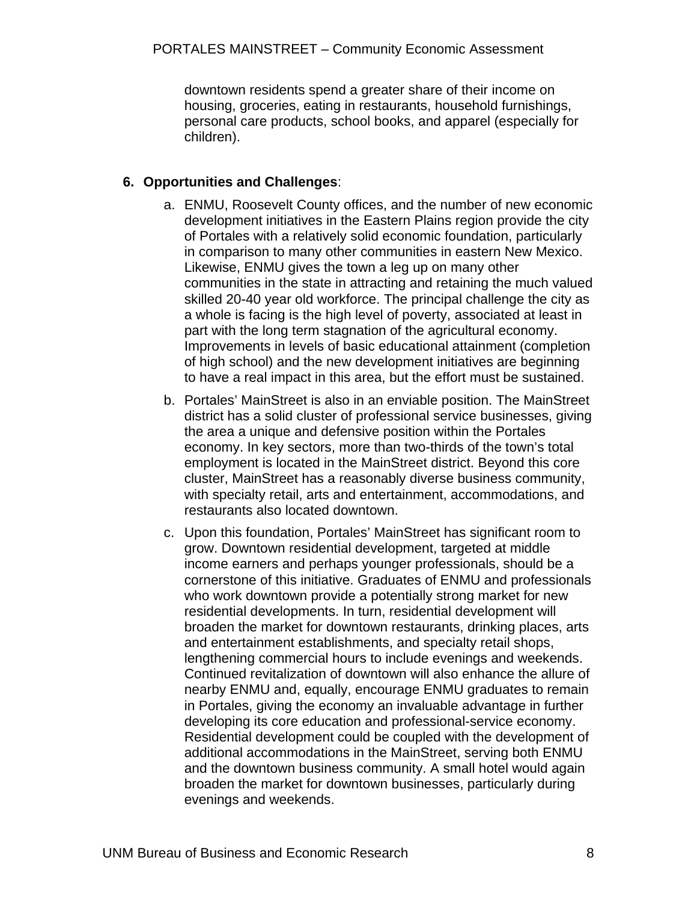downtown residents spend a greater share of their income on housing, groceries, eating in restaurants, household furnishings, personal care products, school books, and apparel (especially for children).

#### **6. Opportunities and Challenges**:

- a. ENMU, Roosevelt County offices, and the number of new economic development initiatives in the Eastern Plains region provide the city of Portales with a relatively solid economic foundation, particularly in comparison to many other communities in eastern New Mexico. Likewise, ENMU gives the town a leg up on many other communities in the state in attracting and retaining the much valued skilled 20-40 year old workforce. The principal challenge the city as a whole is facing is the high level of poverty, associated at least in part with the long term stagnation of the agricultural economy. Improvements in levels of basic educational attainment (completion of high school) and the new development initiatives are beginning to have a real impact in this area, but the effort must be sustained.
- b. Portales' MainStreet is also in an enviable position. The MainStreet district has a solid cluster of professional service businesses, giving the area a unique and defensive position within the Portales economy. In key sectors, more than two-thirds of the town's total employment is located in the MainStreet district. Beyond this core cluster, MainStreet has a reasonably diverse business community, with specialty retail, arts and entertainment, accommodations, and restaurants also located downtown.
- c. Upon this foundation, Portales' MainStreet has significant room to grow. Downtown residential development, targeted at middle income earners and perhaps younger professionals, should be a cornerstone of this initiative. Graduates of ENMU and professionals who work downtown provide a potentially strong market for new residential developments. In turn, residential development will broaden the market for downtown restaurants, drinking places, arts and entertainment establishments, and specialty retail shops, lengthening commercial hours to include evenings and weekends. Continued revitalization of downtown will also enhance the allure of nearby ENMU and, equally, encourage ENMU graduates to remain in Portales, giving the economy an invaluable advantage in further developing its core education and professional-service economy. Residential development could be coupled with the development of additional accommodations in the MainStreet, serving both ENMU and the downtown business community. A small hotel would again broaden the market for downtown businesses, particularly during evenings and weekends.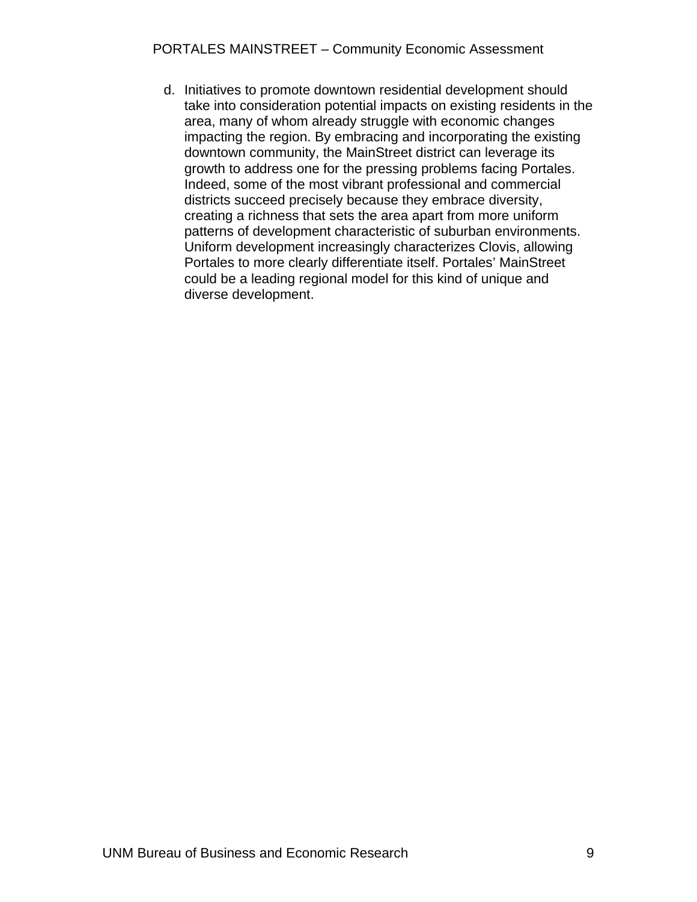d. Initiatives to promote downtown residential development should take into consideration potential impacts on existing residents in the area, many of whom already struggle with economic changes impacting the region. By embracing and incorporating the existing downtown community, the MainStreet district can leverage its growth to address one for the pressing problems facing Portales. Indeed, some of the most vibrant professional and commercial districts succeed precisely because they embrace diversity, creating a richness that sets the area apart from more uniform patterns of development characteristic of suburban environments. Uniform development increasingly characterizes Clovis, allowing Portales to more clearly differentiate itself. Portales' MainStreet could be a leading regional model for this kind of unique and diverse development.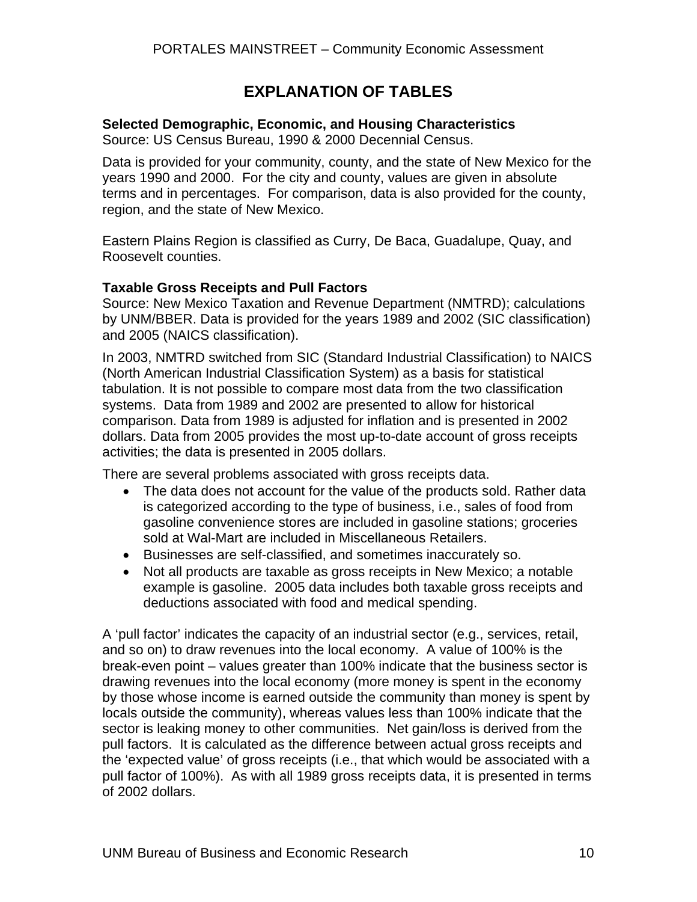## **EXPLANATION OF TABLES**

#### **Selected Demographic, Economic, and Housing Characteristics**

Source: US Census Bureau, 1990 & 2000 Decennial Census.

Data is provided for your community, county, and the state of New Mexico for the years 1990 and 2000. For the city and county, values are given in absolute terms and in percentages. For comparison, data is also provided for the county, region, and the state of New Mexico.

Eastern Plains Region is classified as Curry, De Baca, Guadalupe, Quay, and Roosevelt counties.

#### **Taxable Gross Receipts and Pull Factors**

Source: New Mexico Taxation and Revenue Department (NMTRD); calculations by UNM/BBER. Data is provided for the years 1989 and 2002 (SIC classification) and 2005 (NAICS classification).

In 2003, NMTRD switched from SIC (Standard Industrial Classification) to NAICS (North American Industrial Classification System) as a basis for statistical tabulation. It is not possible to compare most data from the two classification systems. Data from 1989 and 2002 are presented to allow for historical comparison. Data from 1989 is adjusted for inflation and is presented in 2002 dollars. Data from 2005 provides the most up-to-date account of gross receipts activities; the data is presented in 2005 dollars.

There are several problems associated with gross receipts data.

- The data does not account for the value of the products sold. Rather data is categorized according to the type of business, i.e., sales of food from gasoline convenience stores are included in gasoline stations; groceries sold at Wal-Mart are included in Miscellaneous Retailers.
- Businesses are self-classified, and sometimes inaccurately so.
- Not all products are taxable as gross receipts in New Mexico; a notable example is gasoline. 2005 data includes both taxable gross receipts and deductions associated with food and medical spending.

A 'pull factor' indicates the capacity of an industrial sector (e.g., services, retail, and so on) to draw revenues into the local economy. A value of 100% is the break-even point – values greater than 100% indicate that the business sector is drawing revenues into the local economy (more money is spent in the economy by those whose income is earned outside the community than money is spent by locals outside the community), whereas values less than 100% indicate that the sector is leaking money to other communities. Net gain/loss is derived from the pull factors. It is calculated as the difference between actual gross receipts and the 'expected value' of gross receipts (i.e., that which would be associated with a pull factor of 100%). As with all 1989 gross receipts data, it is presented in terms of 2002 dollars.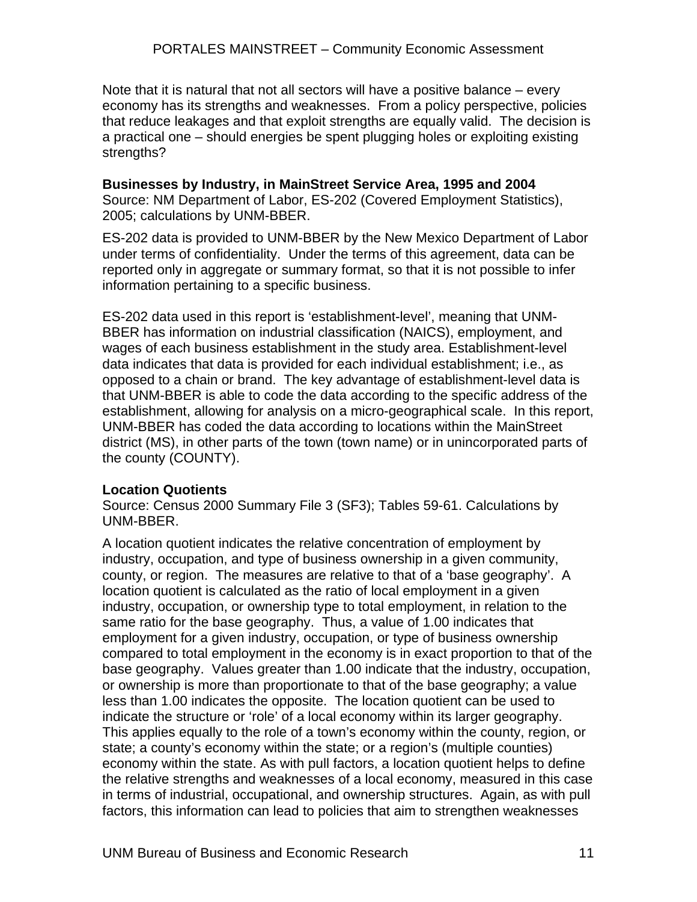Note that it is natural that not all sectors will have a positive balance – every economy has its strengths and weaknesses. From a policy perspective, policies that reduce leakages and that exploit strengths are equally valid. The decision is a practical one – should energies be spent plugging holes or exploiting existing strengths?

#### **Businesses by Industry, in MainStreet Service Area, 1995 and 2004**  Source: NM Department of Labor, ES-202 (Covered Employment Statistics), 2005; calculations by UNM-BBER.

ES-202 data is provided to UNM-BBER by the New Mexico Department of Labor under terms of confidentiality. Under the terms of this agreement, data can be reported only in aggregate or summary format, so that it is not possible to infer information pertaining to a specific business.

ES-202 data used in this report is 'establishment-level', meaning that UNM-BBER has information on industrial classification (NAICS), employment, and wages of each business establishment in the study area. Establishment-level data indicates that data is provided for each individual establishment; i.e., as opposed to a chain or brand. The key advantage of establishment-level data is that UNM-BBER is able to code the data according to the specific address of the establishment, allowing for analysis on a micro-geographical scale. In this report, UNM-BBER has coded the data according to locations within the MainStreet district (MS), in other parts of the town (town name) or in unincorporated parts of the county (COUNTY).

#### **Location Quotients**

Source: Census 2000 Summary File 3 (SF3); Tables 59-61. Calculations by UNM-BBER.

A location quotient indicates the relative concentration of employment by industry, occupation, and type of business ownership in a given community, county, or region. The measures are relative to that of a 'base geography'. A location quotient is calculated as the ratio of local employment in a given industry, occupation, or ownership type to total employment, in relation to the same ratio for the base geography. Thus, a value of 1.00 indicates that employment for a given industry, occupation, or type of business ownership compared to total employment in the economy is in exact proportion to that of the base geography. Values greater than 1.00 indicate that the industry, occupation, or ownership is more than proportionate to that of the base geography; a value less than 1.00 indicates the opposite. The location quotient can be used to indicate the structure or 'role' of a local economy within its larger geography. This applies equally to the role of a town's economy within the county, region, or state; a county's economy within the state; or a region's (multiple counties) economy within the state. As with pull factors, a location quotient helps to define the relative strengths and weaknesses of a local economy, measured in this case in terms of industrial, occupational, and ownership structures. Again, as with pull factors, this information can lead to policies that aim to strengthen weaknesses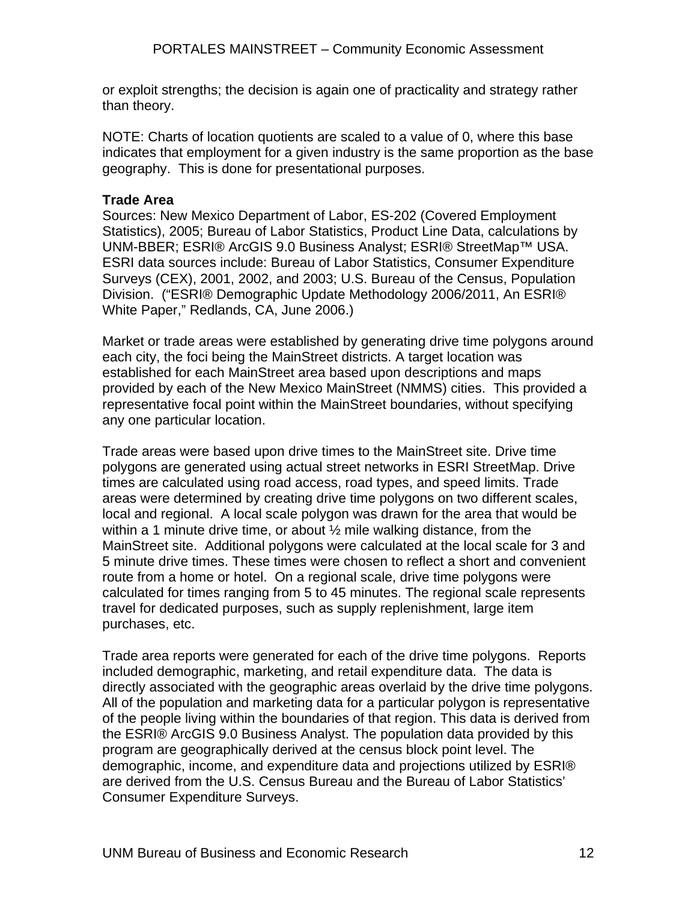or exploit strengths; the decision is again one of practicality and strategy rather than theory.

NOTE: Charts of location quotients are scaled to a value of 0, where this base indicates that employment for a given industry is the same proportion as the base geography. This is done for presentational purposes.

#### **Trade Area**

Sources: New Mexico Department of Labor, ES-202 (Covered Employment Statistics), 2005; Bureau of Labor Statistics, Product Line Data, calculations by UNM-BBER; ESRI® ArcGIS 9.0 Business Analyst; ESRI® StreetMap™ USA. ESRI data sources include: Bureau of Labor Statistics, Consumer Expenditure Surveys (CEX), 2001, 2002, and 2003; U.S. Bureau of the Census, Population Division. ("ESRI® Demographic Update Methodology 2006/2011, An ESRI® White Paper," Redlands, CA, June 2006.)

Market or trade areas were established by generating drive time polygons around each city, the foci being the MainStreet districts. A target location was established for each MainStreet area based upon descriptions and maps provided by each of the New Mexico MainStreet (NMMS) cities. This provided a representative focal point within the MainStreet boundaries, without specifying any one particular location.

Trade areas were based upon drive times to the MainStreet site. Drive time polygons are generated using actual street networks in ESRI StreetMap. Drive times are calculated using road access, road types, and speed limits. Trade areas were determined by creating drive time polygons on two different scales, local and regional. A local scale polygon was drawn for the area that would be within a 1 minute drive time, or about  $\frac{1}{2}$  mile walking distance, from the MainStreet site. Additional polygons were calculated at the local scale for 3 and 5 minute drive times. These times were chosen to reflect a short and convenient route from a home or hotel. On a regional scale, drive time polygons were calculated for times ranging from 5 to 45 minutes. The regional scale represents travel for dedicated purposes, such as supply replenishment, large item purchases, etc.

Trade area reports were generated for each of the drive time polygons. Reports included demographic, marketing, and retail expenditure data. The data is directly associated with the geographic areas overlaid by the drive time polygons. All of the population and marketing data for a particular polygon is representative of the people living within the boundaries of that region. This data is derived from the ESRI® ArcGIS 9.0 Business Analyst. The population data provided by this program are geographically derived at the census block point level. The demographic, income, and expenditure data and projections utilized by ESRI® are derived from the U.S. Census Bureau and the Bureau of Labor Statistics' Consumer Expenditure Surveys.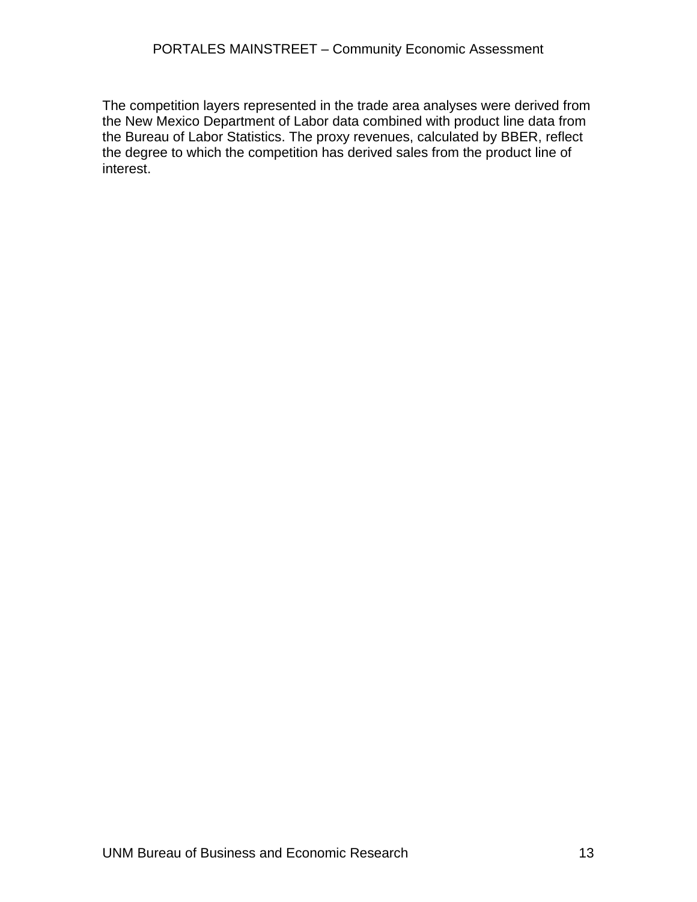The competition layers represented in the trade area analyses were derived from the New Mexico Department of Labor data combined with product line data from the Bureau of Labor Statistics. The proxy revenues, calculated by BBER, reflect the degree to which the competition has derived sales from the product line of interest.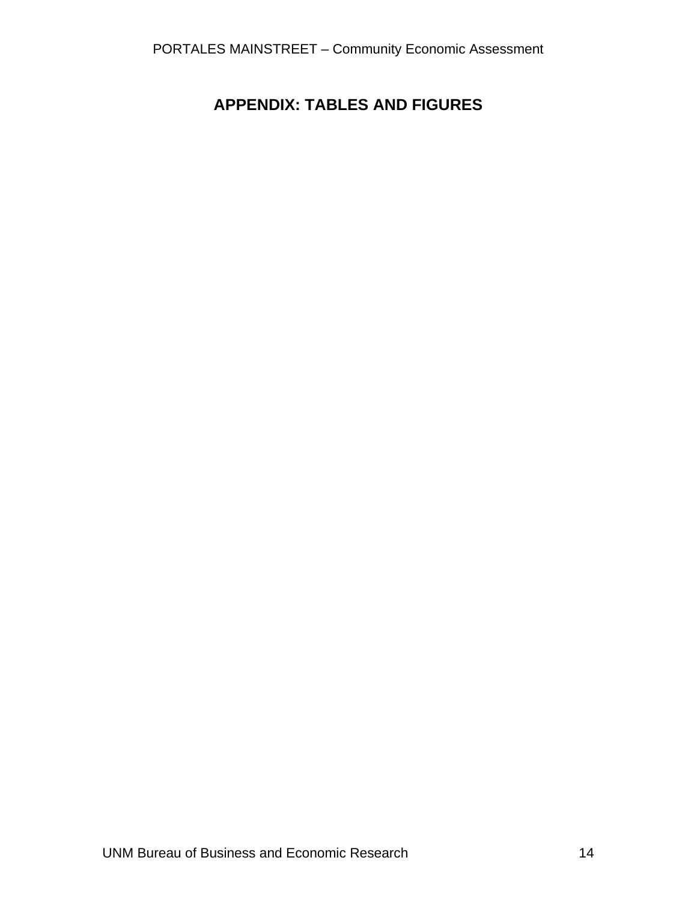## **APPENDIX: TABLES AND FIGURES**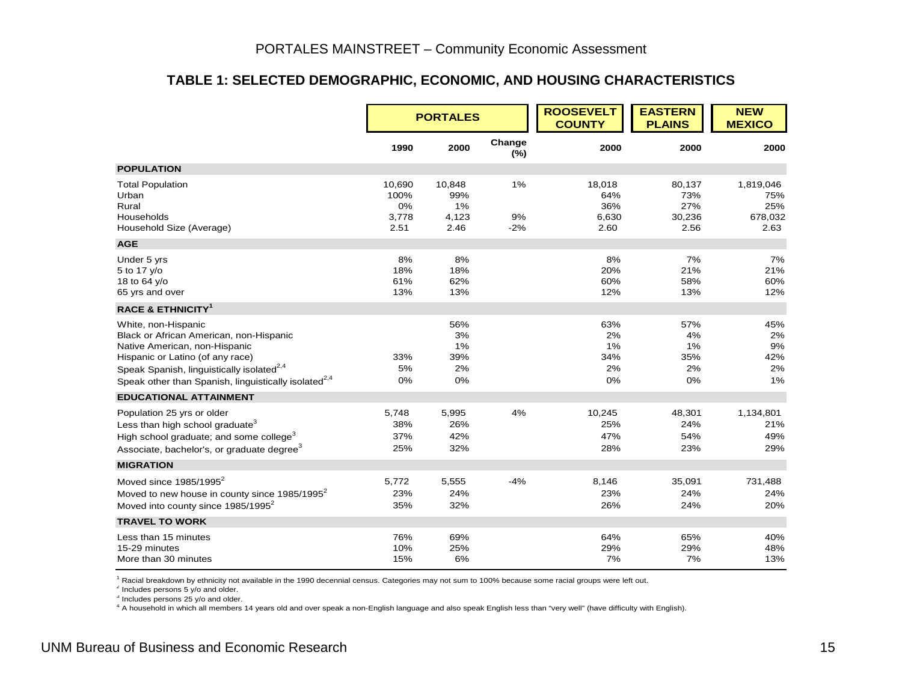#### **TABLE 1: SELECTED DEMOGRAPHIC, ECONOMIC, AND HOUSING CHARACTERISTICS**

|                                                                                                                                                                                                                                                                  |                                       | <b>PORTALES</b>                      |                   | <b>ROOSEVELT</b><br><b>COUNTY</b>     | <b>EASTERN</b><br><b>PLAINS</b>        | <b>NEW</b><br><b>MEXICO</b>                |
|------------------------------------------------------------------------------------------------------------------------------------------------------------------------------------------------------------------------------------------------------------------|---------------------------------------|--------------------------------------|-------------------|---------------------------------------|----------------------------------------|--------------------------------------------|
|                                                                                                                                                                                                                                                                  | 1990                                  | 2000                                 | Change<br>(%)     | 2000                                  | 2000                                   | 2000                                       |
| <b>POPULATION</b>                                                                                                                                                                                                                                                |                                       |                                      |                   |                                       |                                        |                                            |
| <b>Total Population</b><br>Urban<br>Rural<br>Households<br>Household Size (Average)                                                                                                                                                                              | 10,690<br>100%<br>0%<br>3,778<br>2.51 | 10,848<br>99%<br>1%<br>4,123<br>2.46 | 1%<br>9%<br>$-2%$ | 18,018<br>64%<br>36%<br>6,630<br>2.60 | 80,137<br>73%<br>27%<br>30,236<br>2.56 | 1,819,046<br>75%<br>25%<br>678,032<br>2.63 |
| <b>AGE</b>                                                                                                                                                                                                                                                       |                                       |                                      |                   |                                       |                                        |                                            |
| Under 5 yrs<br>5 to 17 y/o<br>18 to 64 y/o<br>65 yrs and over                                                                                                                                                                                                    | 8%<br>18%<br>61%<br>13%               | 8%<br>18%<br>62%<br>13%              |                   | 8%<br>20%<br>60%<br>12%               | 7%<br>21%<br>58%<br>13%                | 7%<br>21%<br>60%<br>12%                    |
| <b>RACE &amp; ETHNICITY<sup>1</sup></b>                                                                                                                                                                                                                          |                                       |                                      |                   |                                       |                                        |                                            |
| White, non-Hispanic<br>Black or African American, non-Hispanic<br>Native American, non-Hispanic<br>Hispanic or Latino (of any race)<br>Speak Spanish, linguistically isolated <sup>2,4</sup><br>Speak other than Spanish, linguistically isolated <sup>2,4</sup> | 33%<br>5%<br>0%                       | 56%<br>3%<br>1%<br>39%<br>2%<br>0%   |                   | 63%<br>2%<br>1%<br>34%<br>2%<br>0%    | 57%<br>4%<br>1%<br>35%<br>2%<br>0%     | 45%<br>2%<br>9%<br>42%<br>2%<br>1%         |
| <b>EDUCATIONAL ATTAINMENT</b>                                                                                                                                                                                                                                    |                                       |                                      |                   |                                       |                                        |                                            |
| Population 25 yrs or older<br>Less than high school graduate <sup>3</sup><br>High school graduate; and some college <sup>3</sup><br>Associate, bachelor's, or graduate degree <sup>3</sup>                                                                       | 5,748<br>38%<br>37%<br>25%            | 5,995<br>26%<br>42%<br>32%           | 4%                | 10,245<br>25%<br>47%<br>28%           | 48,301<br>24%<br>54%<br>23%            | 1,134,801<br>21%<br>49%<br>29%             |
| <b>MIGRATION</b>                                                                                                                                                                                                                                                 |                                       |                                      |                   |                                       |                                        |                                            |
| Moved since $1985/1995^2$<br>Moved to new house in county since 1985/1995 <sup>2</sup><br>Moved into county since 1985/1995 <sup>2</sup>                                                                                                                         | 5,772<br>23%<br>35%                   | 5,555<br>24%<br>32%                  | $-4%$             | 8,146<br>23%<br>26%                   | 35,091<br>24%<br>24%                   | 731,488<br>24%<br>20%                      |
| <b>TRAVEL TO WORK</b>                                                                                                                                                                                                                                            |                                       |                                      |                   |                                       |                                        |                                            |
| Less than 15 minutes<br>15-29 minutes<br>More than 30 minutes                                                                                                                                                                                                    | 76%<br>10%<br>15%                     | 69%<br>25%<br>6%                     |                   | 64%<br>29%<br>7%                      | 65%<br>29%<br>7%                       | 40%<br>48%<br>13%                          |

1 Racial breakdown by ethnicity not available in the 1990 decennial census. Categories may not sum to 100% because some racial groups were left out.

 $2$  Includes persons 5 y/o and older.

 $3$  Includes persons 25 y/o and older.

4 A household in which all members 14 years old and over speak a non-English language and also speak English less than "very well" (have difficulty with English).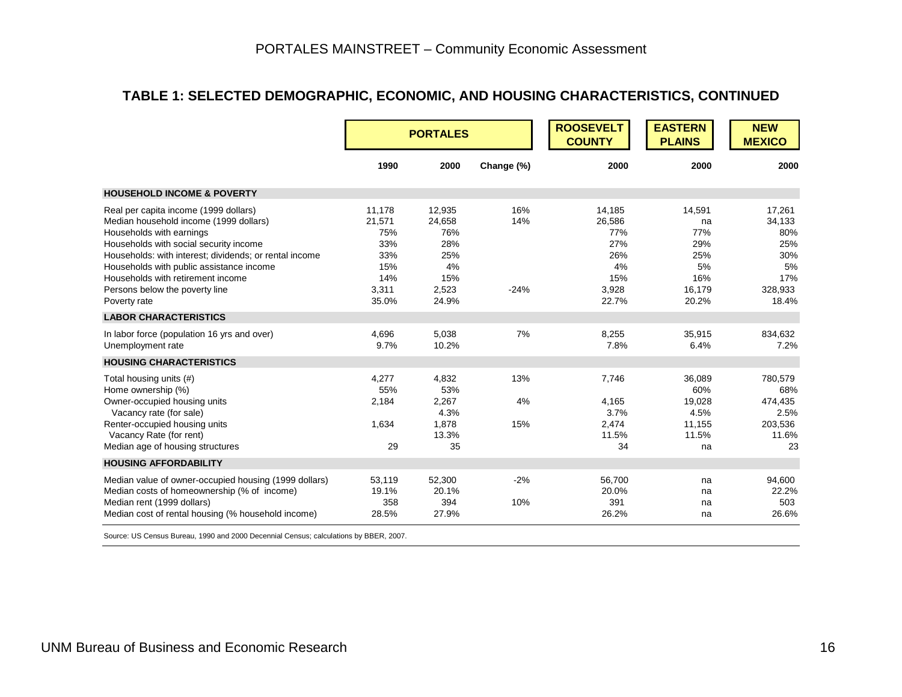#### **TABLE 1: SELECTED DEMOGRAPHIC, ECONOMIC, AND HOUSING CHARACTERISTICS, CONTINUED**

|                                                                                                                                                                                                                                                                                                                                                    |                                                                       | <b>PORTALES</b>                                                      |                      | <b>ROOSEVELT</b><br><b>COUNTY</b>                                    | <b>EASTERN</b><br><b>PLAINS</b>                                   | <b>NEW</b><br><b>MEXICO</b>                                            |
|----------------------------------------------------------------------------------------------------------------------------------------------------------------------------------------------------------------------------------------------------------------------------------------------------------------------------------------------------|-----------------------------------------------------------------------|----------------------------------------------------------------------|----------------------|----------------------------------------------------------------------|-------------------------------------------------------------------|------------------------------------------------------------------------|
|                                                                                                                                                                                                                                                                                                                                                    | 1990                                                                  | 2000                                                                 | Change (%)           | 2000                                                                 | 2000                                                              | 2000                                                                   |
| <b>HOUSEHOLD INCOME &amp; POVERTY</b>                                                                                                                                                                                                                                                                                                              |                                                                       |                                                                      |                      |                                                                      |                                                                   |                                                                        |
| Real per capita income (1999 dollars)<br>Median household income (1999 dollars)<br>Households with earnings<br>Households with social security income<br>Households: with interest; dividends; or rental income<br>Households with public assistance income<br>Households with retirement income<br>Persons below the poverty line<br>Poverty rate | 11,178<br>21,571<br>75%<br>33%<br>33%<br>15%<br>14%<br>3,311<br>35.0% | 12,935<br>24,658<br>76%<br>28%<br>25%<br>4%<br>15%<br>2,523<br>24.9% | 16%<br>14%<br>$-24%$ | 14,185<br>26,586<br>77%<br>27%<br>26%<br>4%<br>15%<br>3,928<br>22.7% | 14,591<br>na<br>77%<br>29%<br>25%<br>5%<br>16%<br>16,179<br>20.2% | 17,261<br>34,133<br>80%<br>25%<br>30%<br>5%<br>17%<br>328,933<br>18.4% |
| <b>LABOR CHARACTERISTICS</b>                                                                                                                                                                                                                                                                                                                       |                                                                       |                                                                      |                      |                                                                      |                                                                   |                                                                        |
| In labor force (population 16 yrs and over)<br>Unemployment rate                                                                                                                                                                                                                                                                                   | 4,696<br>9.7%                                                         | 5,038<br>10.2%                                                       | 7%                   | 8,255<br>7.8%                                                        | 35,915<br>6.4%                                                    | 834,632<br>7.2%                                                        |
| <b>HOUSING CHARACTERISTICS</b>                                                                                                                                                                                                                                                                                                                     |                                                                       |                                                                      |                      |                                                                      |                                                                   |                                                                        |
| Total housing units (#)<br>Home ownership (%)<br>Owner-occupied housing units<br>Vacancy rate (for sale)<br>Renter-occupied housing units<br>Vacancy Rate (for rent)<br>Median age of housing structures                                                                                                                                           | 4,277<br>55%<br>2,184<br>1,634<br>29                                  | 4,832<br>53%<br>2,267<br>4.3%<br>1,878<br>13.3%<br>35                | 13%<br>4%<br>15%     | 7,746<br>4,165<br>3.7%<br>2,474<br>11.5%<br>34                       | 36,089<br>60%<br>19,028<br>4.5%<br>11,155<br>11.5%<br>na          | 780,579<br>68%<br>474,435<br>2.5%<br>203,536<br>11.6%<br>23            |
| <b>HOUSING AFFORDABILITY</b>                                                                                                                                                                                                                                                                                                                       |                                                                       |                                                                      |                      |                                                                      |                                                                   |                                                                        |
| Median value of owner-occupied housing (1999 dollars)<br>Median costs of homeownership (% of income)<br>Median rent (1999 dollars)<br>Median cost of rental housing (% household income)                                                                                                                                                           | 53,119<br>19.1%<br>358<br>28.5%                                       | 52,300<br>20.1%<br>394<br>27.9%                                      | $-2%$<br>10%         | 56,700<br>20.0%<br>391<br>26.2%                                      | na<br>na<br>na<br>na                                              | 94,600<br>22.2%<br>503<br>26.6%                                        |

Source: US Census Bureau, 1990 and 2000 Decennial Census; calculations by BBER, 2007.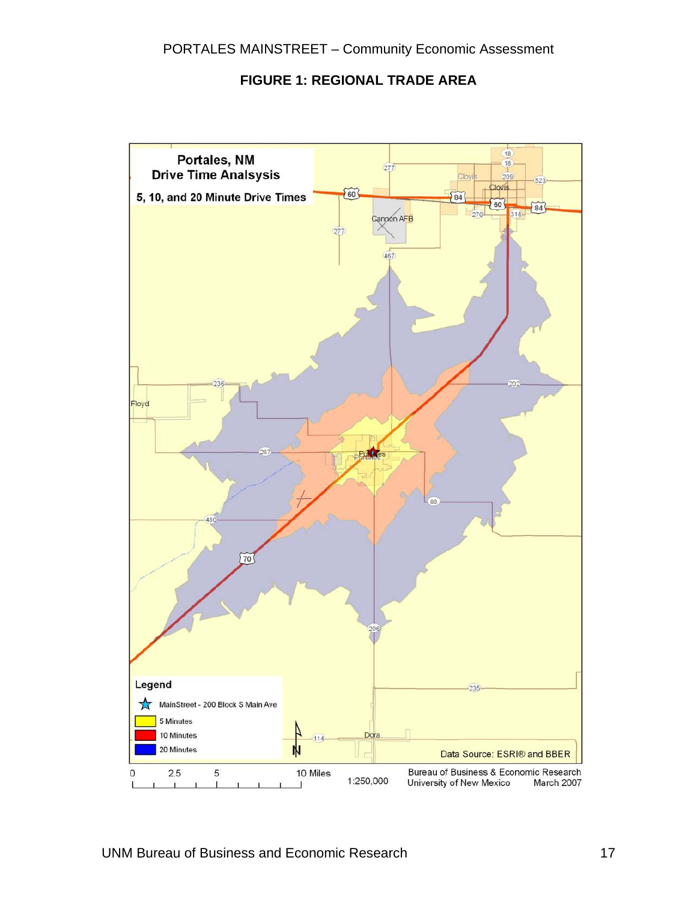#### **FIGURE 1: REGIONAL TRADE AREA**

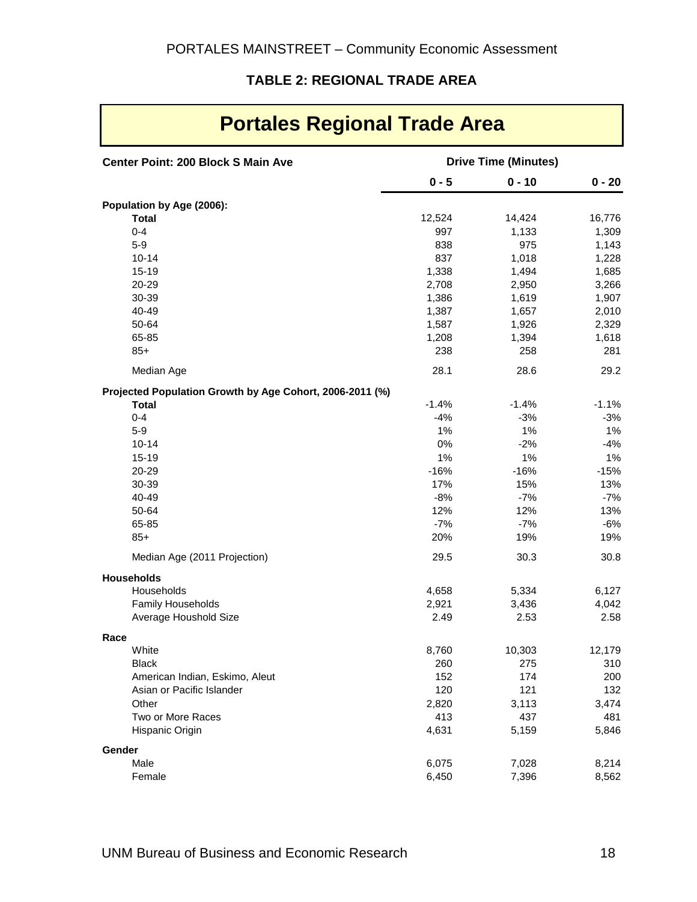#### **TABLE 2: REGIONAL TRADE AREA**

 $\mathbf{r}$ 

| <b>Portales Regional Trade Area</b>                      |         |                             |          |  |  |
|----------------------------------------------------------|---------|-----------------------------|----------|--|--|
| <b>Center Point: 200 Block S Main Ave</b>                |         | <b>Drive Time (Minutes)</b> |          |  |  |
|                                                          | $0 - 5$ | $0 - 10$                    | $0 - 20$ |  |  |
| Population by Age (2006):                                |         |                             |          |  |  |
| <b>Total</b>                                             | 12,524  | 14,424                      | 16,776   |  |  |
| $0 - 4$                                                  | 997     | 1,133                       | 1,309    |  |  |
| $5-9$                                                    | 838     | 975                         | 1,143    |  |  |
| $10 - 14$                                                | 837     | 1,018                       | 1,228    |  |  |
| $15 - 19$                                                | 1,338   | 1,494                       | 1,685    |  |  |
| 20-29                                                    | 2,708   | 2,950                       | 3,266    |  |  |
| 30-39                                                    | 1,386   | 1,619                       | 1,907    |  |  |
| 40-49                                                    | 1,387   | 1,657                       | 2,010    |  |  |
| 50-64                                                    | 1,587   | 1,926                       | 2,329    |  |  |
| 65-85                                                    | 1,208   | 1,394                       | 1,618    |  |  |
| $85+$                                                    | 238     | 258                         | 281      |  |  |
| Median Age                                               | 28.1    | 28.6                        | 29.2     |  |  |
| Projected Population Growth by Age Cohort, 2006-2011 (%) |         |                             |          |  |  |
| <b>Total</b>                                             | $-1.4%$ | $-1.4%$                     | $-1.1%$  |  |  |
| $0 - 4$                                                  | $-4%$   | $-3%$                       | $-3%$    |  |  |
| $5-9$                                                    | 1%      | 1%                          | 1%       |  |  |
| $10 - 14$                                                | 0%      | $-2%$                       | $-4%$    |  |  |
| $15 - 19$                                                | 1%      | 1%                          | $1\%$    |  |  |
| 20-29                                                    | $-16%$  | $-16%$                      | $-15%$   |  |  |
| 30-39                                                    | 17%     | 15%                         | 13%      |  |  |
| 40-49                                                    | $-8%$   | $-7%$                       | $-7%$    |  |  |
| 50-64                                                    | 12%     | 12%                         | 13%      |  |  |
| 65-85                                                    | $-7%$   | $-7%$                       | $-6%$    |  |  |
| $85+$                                                    | 20%     | 19%                         | 19%      |  |  |
| Median Age (2011 Projection)                             | 29.5    | 30.3                        | 30.8     |  |  |
| <b>Households</b>                                        |         |                             |          |  |  |
| Households                                               | 4,658   | 5,334                       | 6,127    |  |  |
| Family Households                                        | 2,921   | 3,436                       | 4,042    |  |  |
| Average Houshold Size                                    | 2.49    | 2.53                        | 2.58     |  |  |
| Race                                                     |         |                             |          |  |  |
| White                                                    | 8,760   | 10,303                      | 12,179   |  |  |
| <b>Black</b>                                             | 260     | 275                         | 310      |  |  |
| American Indian, Eskimo, Aleut                           | 152     | 174                         | 200      |  |  |
| Asian or Pacific Islander                                | 120     | 121                         | 132      |  |  |
| Other                                                    | 2,820   | 3,113                       | 3,474    |  |  |
| Two or More Races                                        | 413     | 437                         | 481      |  |  |
| Hispanic Origin                                          | 4,631   | 5,159                       | 5,846    |  |  |
| Gender                                                   |         |                             |          |  |  |
| Male                                                     | 6,075   | 7,028                       | 8,214    |  |  |
| Female                                                   | 6,450   | 7,396                       | 8,562    |  |  |

 $\blacksquare$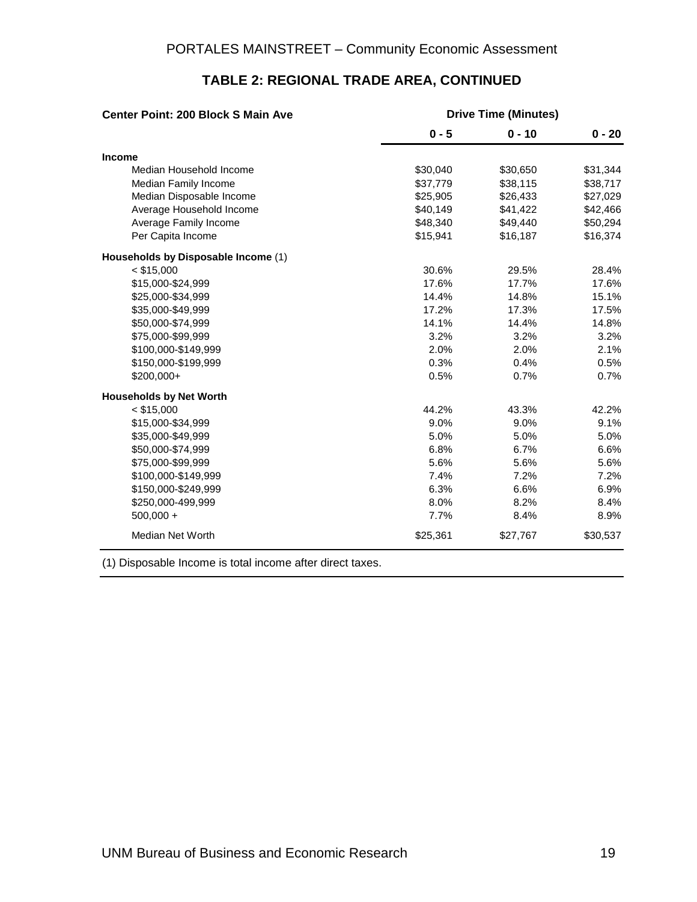| <b>Center Point: 200 Block S Main Ave</b> | <b>Drive Time (Minutes)</b> |          |          |
|-------------------------------------------|-----------------------------|----------|----------|
|                                           | $0 - 5$                     | $0 - 10$ | $0 - 20$ |
| <b>Income</b>                             |                             |          |          |
| Median Household Income                   | \$30,040                    | \$30,650 | \$31,344 |
| Median Family Income                      | \$37,779                    | \$38,115 | \$38,717 |
| Median Disposable Income                  | \$25,905                    | \$26,433 | \$27,029 |
| Average Household Income                  | \$40,149                    | \$41,422 | \$42,466 |
| Average Family Income                     | \$48,340                    | \$49,440 | \$50,294 |
| Per Capita Income                         | \$15,941                    | \$16,187 | \$16,374 |
| Households by Disposable Income (1)       |                             |          |          |
| $<$ \$15,000                              | 30.6%                       | 29.5%    | 28.4%    |
| \$15,000-\$24,999                         | 17.6%                       | 17.7%    | 17.6%    |
| \$25,000-\$34,999                         | 14.4%                       | 14.8%    | 15.1%    |
| \$35,000-\$49,999                         | 17.2%                       | 17.3%    | 17.5%    |
| \$50,000-\$74,999                         | 14.1%                       | 14.4%    | 14.8%    |
| \$75,000-\$99,999                         | 3.2%                        | 3.2%     | 3.2%     |
| \$100,000-\$149,999                       | 2.0%                        | 2.0%     | 2.1%     |
| \$150,000-\$199,999                       | 0.3%                        | 0.4%     | 0.5%     |
| \$200,000+                                | 0.5%                        | 0.7%     | 0.7%     |
| <b>Households by Net Worth</b>            |                             |          |          |
| $<$ \$15,000                              | 44.2%                       | 43.3%    | 42.2%    |
| \$15,000-\$34,999                         | 9.0%                        | 9.0%     | 9.1%     |
| \$35,000-\$49,999                         | 5.0%                        | 5.0%     | 5.0%     |
| \$50,000-\$74,999                         | 6.8%                        | 6.7%     | 6.6%     |
| \$75,000-\$99,999                         | 5.6%                        | 5.6%     | 5.6%     |
| \$100,000-\$149,999                       | 7.4%                        | 7.2%     | 7.2%     |
| \$150,000-\$249,999                       | 6.3%                        | 6.6%     | 6.9%     |
| \$250,000-499,999                         | 8.0%                        | 8.2%     | 8.4%     |
| $500,000 +$                               | 7.7%                        | 8.4%     | 8.9%     |
| <b>Median Net Worth</b>                   | \$25,361                    | \$27,767 | \$30,537 |

#### **TABLE 2: REGIONAL TRADE AREA, CONTINUED**

(1) Disposable Income is total income after direct taxes.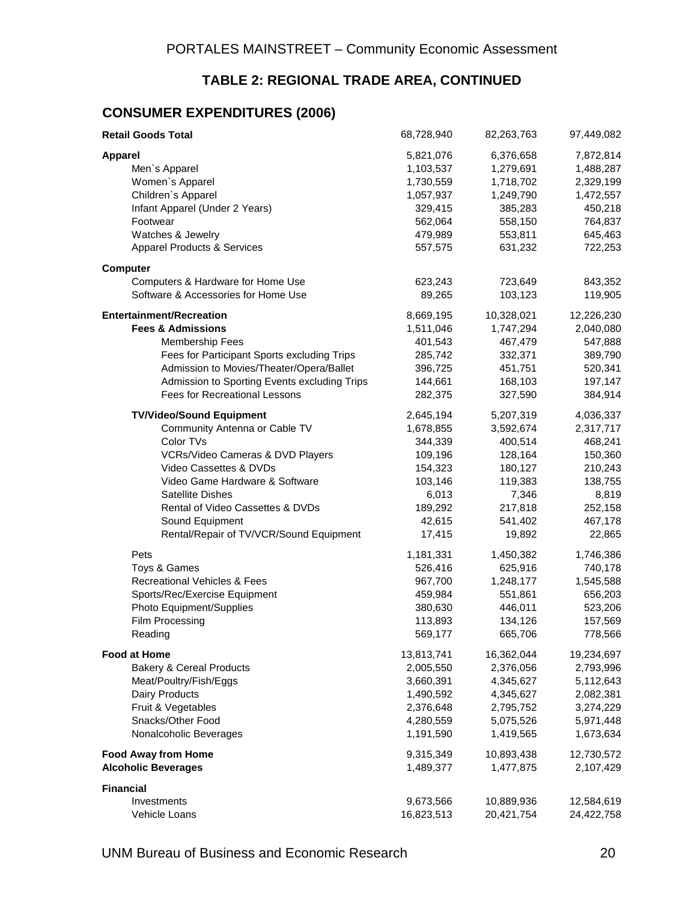#### **TABLE 2: REGIONAL TRADE AREA, CONTINUED**

#### **CONSUMER EXPENDITURES (2006)**

| <b>Retail Goods Total</b>                    | 68,728,940 | 82,263,763 | 97,449,082 |
|----------------------------------------------|------------|------------|------------|
| <b>Apparel</b>                               | 5,821,076  | 6,376,658  | 7,872,814  |
| Men's Apparel                                | 1,103,537  | 1,279,691  | 1,488,287  |
| Women's Apparel                              | 1,730,559  | 1,718,702  | 2,329,199  |
| Children's Apparel                           | 1,057,937  | 1,249,790  | 1,472,557  |
| Infant Apparel (Under 2 Years)               | 329,415    | 385,283    | 450,218    |
| Footwear                                     | 562,064    | 558,150    | 764,837    |
| Watches & Jewelry                            | 479,989    | 553,811    | 645,463    |
| <b>Apparel Products &amp; Services</b>       | 557,575    | 631,232    | 722,253    |
| <b>Computer</b>                              |            |            |            |
| Computers & Hardware for Home Use            | 623,243    | 723,649    | 843,352    |
| Software & Accessories for Home Use          | 89,265     | 103,123    | 119,905    |
| <b>Entertainment/Recreation</b>              | 8,669,195  | 10,328,021 | 12,226,230 |
| <b>Fees &amp; Admissions</b>                 | 1,511,046  | 1,747,294  | 2,040,080  |
| <b>Membership Fees</b>                       | 401,543    | 467,479    | 547,888    |
| Fees for Participant Sports excluding Trips  | 285,742    | 332,371    | 389,790    |
| Admission to Movies/Theater/Opera/Ballet     | 396,725    | 451,751    | 520,341    |
| Admission to Sporting Events excluding Trips | 144,661    | 168,103    | 197,147    |
| Fees for Recreational Lessons                | 282,375    | 327,590    | 384,914    |
| <b>TV/Video/Sound Equipment</b>              | 2,645,194  | 5,207,319  | 4,036,337  |
| Community Antenna or Cable TV                | 1,678,855  | 3,592,674  | 2,317,717  |
| Color TVs                                    | 344,339    | 400,514    | 468,241    |
| VCRs/Video Cameras & DVD Players             | 109,196    | 128,164    | 150,360    |
| Video Cassettes & DVDs                       | 154,323    | 180,127    | 210,243    |
| Video Game Hardware & Software               | 103,146    | 119,383    | 138,755    |
| <b>Satellite Dishes</b>                      | 6,013      | 7,346      | 8,819      |
| Rental of Video Cassettes & DVDs             | 189,292    | 217,818    | 252,158    |
| Sound Equipment                              | 42,615     | 541,402    | 467,178    |
| Rental/Repair of TV/VCR/Sound Equipment      | 17,415     | 19,892     | 22,865     |
| Pets                                         | 1,181,331  | 1,450,382  | 1,746,386  |
| Toys & Games                                 | 526,416    | 625,916    | 740,178    |
| Recreational Vehicles & Fees                 | 967,700    | 1,248,177  | 1,545,588  |
| Sports/Rec/Exercise Equipment                | 459,984    | 551,861    | 656,203    |
| Photo Equipment/Supplies                     | 380,630    | 446,011    | 523,206    |
| Film Processing                              | 113,893    | 134,126    | 157,569    |
| Reading                                      | 569,177    | 665,706    | 778,566    |
| <b>Food at Home</b>                          | 13,813,741 | 16,362,044 | 19,234,697 |
| <b>Bakery &amp; Cereal Products</b>          | 2,005,550  | 2,376,056  | 2,793,996  |
| Meat/Poultry/Fish/Eggs                       | 3,660,391  | 4,345,627  | 5,112,643  |
| Dairy Products                               | 1,490,592  | 4,345,627  | 2,082,381  |
| Fruit & Vegetables                           | 2,376,648  | 2,795,752  | 3,274,229  |
| Snacks/Other Food                            | 4,280,559  | 5,075,526  | 5,971,448  |
| Nonalcoholic Beverages                       | 1,191,590  | 1,419,565  | 1,673,634  |
| <b>Food Away from Home</b>                   | 9,315,349  | 10,893,438 | 12,730,572 |
| <b>Alcoholic Beverages</b>                   | 1,489,377  | 1,477,875  | 2,107,429  |
| <b>Financial</b>                             |            |            |            |
| Investments                                  | 9,673,566  | 10,889,936 | 12,584,619 |
| Vehicle Loans                                | 16,823,513 | 20,421,754 | 24,422,758 |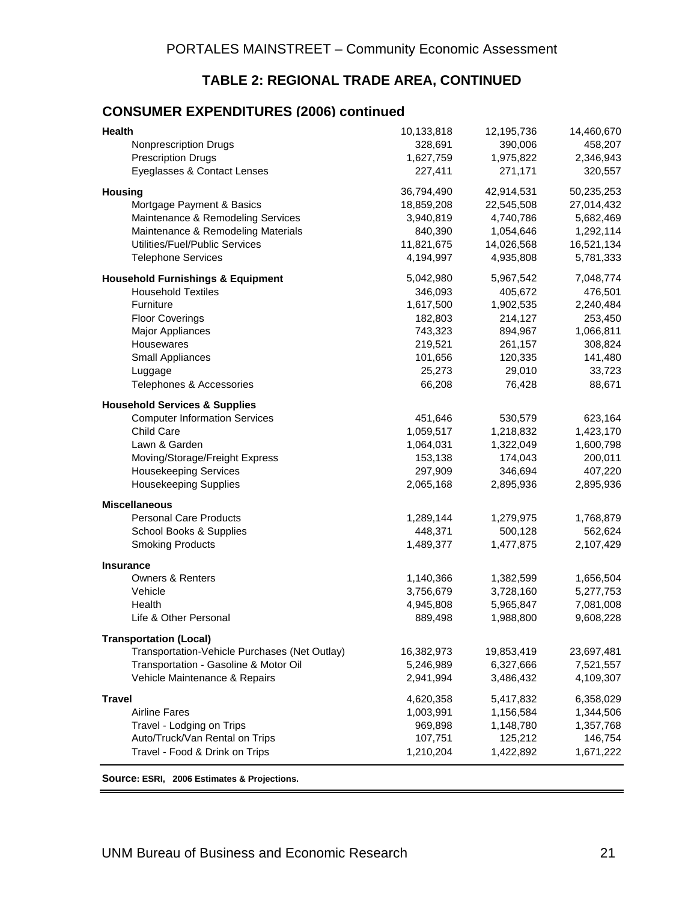#### **TABLE 2: REGIONAL TRADE AREA, CONTINUED**

#### **CONSUMER EXPENDITURES (2006) continued**

| <b>Health</b>                                 | 10,133,818 | 12,195,736 | 14,460,670 |
|-----------------------------------------------|------------|------------|------------|
| Nonprescription Drugs                         | 328,691    | 390,006    | 458,207    |
| <b>Prescription Drugs</b>                     | 1,627,759  | 1,975,822  | 2,346,943  |
| Eyeglasses & Contact Lenses                   | 227,411    | 271,171    | 320,557    |
| <b>Housing</b>                                | 36,794,490 | 42,914,531 | 50,235,253 |
| Mortgage Payment & Basics                     | 18,859,208 | 22,545,508 | 27,014,432 |
| Maintenance & Remodeling Services             | 3,940,819  | 4,740,786  | 5,682,469  |
| Maintenance & Remodeling Materials            | 840,390    | 1,054,646  | 1,292,114  |
| Utilities/Fuel/Public Services                | 11,821,675 | 14,026,568 | 16,521,134 |
| <b>Telephone Services</b>                     | 4,194,997  | 4,935,808  | 5,781,333  |
| <b>Household Furnishings &amp; Equipment</b>  | 5,042,980  | 5,967,542  | 7,048,774  |
| <b>Household Textiles</b>                     | 346,093    | 405,672    | 476,501    |
| Furniture                                     | 1,617,500  | 1,902,535  | 2,240,484  |
| <b>Floor Coverings</b>                        | 182,803    | 214,127    | 253,450    |
| Major Appliances                              | 743,323    | 894,967    | 1,066,811  |
| Housewares                                    | 219,521    | 261,157    | 308,824    |
| Small Appliances                              | 101,656    | 120,335    | 141,480    |
| Luggage                                       | 25,273     | 29,010     | 33,723     |
| Telephones & Accessories                      | 66,208     | 76,428     | 88,671     |
| <b>Household Services &amp; Supplies</b>      |            |            |            |
| <b>Computer Information Services</b>          | 451,646    | 530,579    | 623,164    |
| Child Care                                    | 1,059,517  | 1,218,832  | 1,423,170  |
| Lawn & Garden                                 | 1,064,031  | 1,322,049  | 1,600,798  |
| Moving/Storage/Freight Express                | 153,138    | 174,043    | 200,011    |
| <b>Housekeeping Services</b>                  | 297,909    | 346,694    | 407,220    |
| <b>Housekeeping Supplies</b>                  | 2,065,168  | 2,895,936  | 2,895,936  |
| <b>Miscellaneous</b>                          |            |            |            |
| <b>Personal Care Products</b>                 | 1,289,144  | 1,279,975  | 1,768,879  |
| School Books & Supplies                       | 448,371    | 500,128    | 562,624    |
| <b>Smoking Products</b>                       | 1,489,377  | 1,477,875  | 2,107,429  |
| <b>Insurance</b>                              |            |            |            |
| <b>Owners &amp; Renters</b>                   | 1,140,366  | 1,382,599  | 1,656,504  |
| Vehicle                                       | 3,756,679  | 3,728,160  | 5,277,753  |
| Health                                        | 4,945,808  | 5,965,847  | 7,081,008  |
| Life & Other Personal                         | 889,498    | 1,988,800  | 9,608,228  |
| <b>Transportation (Local)</b>                 |            |            |            |
| Transportation-Vehicle Purchases (Net Outlay) | 16,382,973 | 19,853,419 | 23,697,481 |
| Transportation - Gasoline & Motor Oil         | 5,246,989  | 6,327,666  | 7,521,557  |
| Vehicle Maintenance & Repairs                 | 2,941,994  | 3,486,432  | 4,109,307  |
| <b>Travel</b>                                 | 4,620,358  | 5,417,832  | 6,358,029  |
| <b>Airline Fares</b>                          | 1,003,991  | 1,156,584  | 1,344,506  |
| Travel - Lodging on Trips                     | 969,898    | 1,148,780  | 1,357,768  |
| Auto/Truck/Van Rental on Trips                | 107,751    | 125,212    | 146,754    |
| Travel - Food & Drink on Trips                | 1,210,204  | 1,422,892  | 1,671,222  |
|                                               |            |            |            |

**Source: ESRI, 2006 Estimates & Projections.**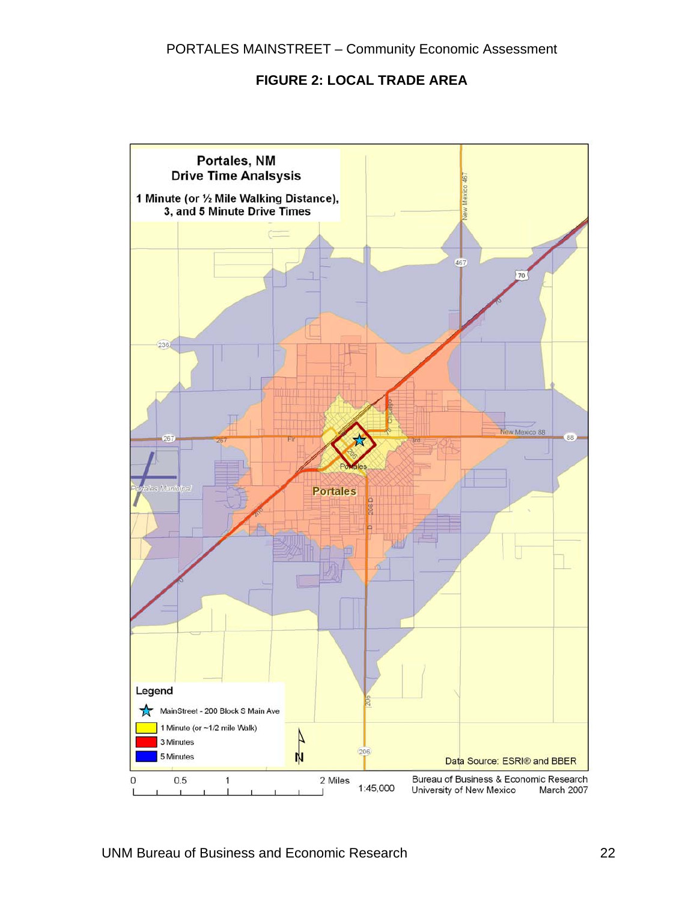#### **FIGURE 2: LOCAL TRADE AREA**

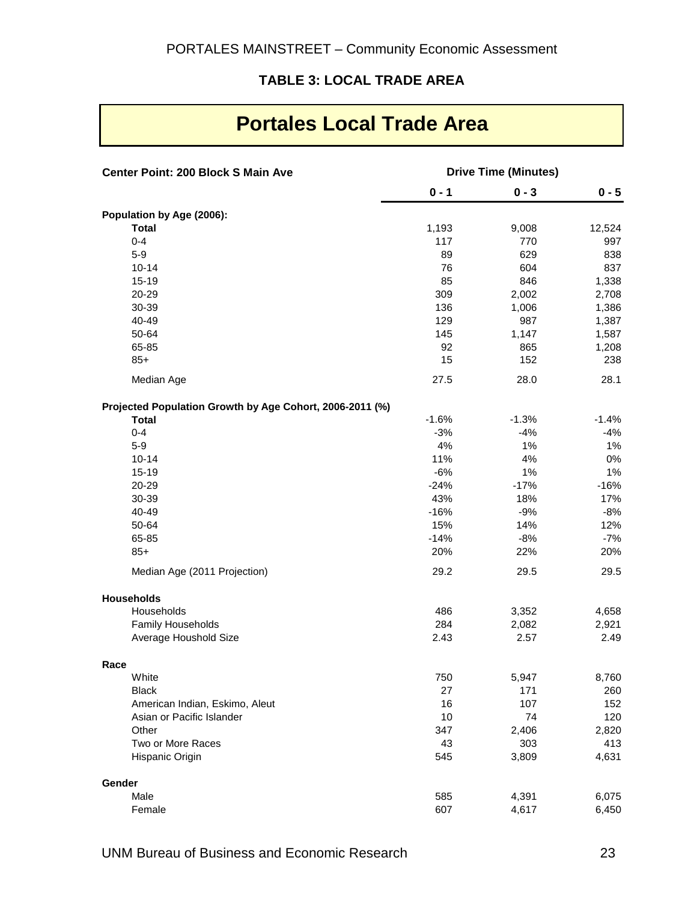#### **TABLE 3: LOCAL TRADE AREA**

| Portales Local Trade Area                                |                             |          |          |  |
|----------------------------------------------------------|-----------------------------|----------|----------|--|
| <b>Center Point: 200 Block S Main Ave</b>                | <b>Drive Time (Minutes)</b> |          |          |  |
|                                                          | $0 - 1$                     | $0 - 3$  | $0 - 5$  |  |
| Population by Age (2006):                                |                             |          |          |  |
| <b>Total</b>                                             | 1,193                       | 9,008    | 12,524   |  |
| $0 - 4$                                                  | 117                         | 770      | 997      |  |
| $5-9$                                                    | 89                          | 629      | 838      |  |
| $10 - 14$                                                | 76                          | 604      | 837      |  |
| $15 - 19$                                                | 85                          | 846      | 1,338    |  |
| 20-29                                                    | 309                         | 2,002    | 2,708    |  |
| 30-39                                                    | 136                         | 1,006    | 1,386    |  |
| 40-49                                                    | 129                         | 987      | 1,387    |  |
| 50-64                                                    | 145                         | 1,147    | 1,587    |  |
| 65-85                                                    | 92                          | 865      | 1,208    |  |
| $85+$                                                    | 15                          | 152      | 238      |  |
| Median Age                                               | 27.5                        | 28.0     | 28.1     |  |
| Projected Population Growth by Age Cohort, 2006-2011 (%) |                             |          |          |  |
| <b>Total</b>                                             | $-1.6%$                     | $-1.3%$  | $-1.4%$  |  |
| $0 - 4$                                                  | $-3%$                       | $-4%$    | $-4%$    |  |
| $5 - 9$                                                  | 4%<br>11%                   | 1%<br>4% | 1%       |  |
| $10 - 14$<br>$15 - 19$                                   | $-6%$                       | 1%       | 0%<br>1% |  |
| 20-29                                                    | $-24%$                      | $-17%$   | $-16%$   |  |
| 30-39                                                    | 43%                         | 18%      | 17%      |  |
| 40-49                                                    | $-16%$                      | $-9%$    | $-8%$    |  |
| 50-64                                                    | 15%                         | 14%      | 12%      |  |
| 65-85                                                    | $-14%$                      | $-8%$    | $-7%$    |  |
| $85+$                                                    | 20%                         | 22%      | 20%      |  |
| Median Age (2011 Projection)                             | 29.2                        | 29.5     | 29.5     |  |
| <b>Households</b>                                        |                             |          |          |  |
| Households                                               | 486                         | 3,352    | 4,658    |  |
| Family Households                                        | 284                         | 2,082    | 2,921    |  |
| Average Houshold Size                                    | 2.43                        | 2.57     | 2.49     |  |
| Race                                                     |                             |          |          |  |
| White                                                    | 750                         | 5,947    | 8,760    |  |
| Black                                                    | 27                          | 171      | 260      |  |
| American Indian, Eskimo, Aleut                           | 16                          | 107      | 152      |  |
| Asian or Pacific Islander                                | 10                          | 74       | 120      |  |
| Other                                                    | 347                         | 2,406    | 2,820    |  |
| Two or More Races                                        | 43<br>545                   | 303      | 413      |  |
| Hispanic Origin                                          |                             | 3,809    | 4,631    |  |
| Gender                                                   |                             |          |          |  |
| Male                                                     | 585                         | 4,391    | 6,075    |  |
| Female                                                   | 607                         | 4,617    | 6,450    |  |

## **Portales Local Trade Area**

UNM Bureau of Business and Economic Research 23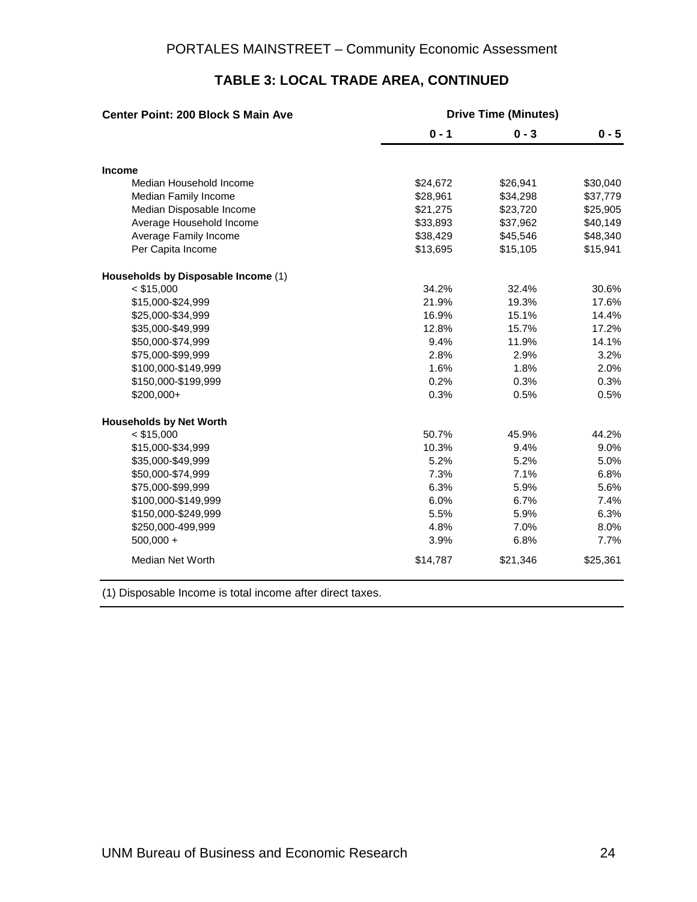| <b>Center Point: 200 Block S Main Ave</b> | <b>Drive Time (Minutes)</b> |          |          |  |
|-------------------------------------------|-----------------------------|----------|----------|--|
|                                           | $0 - 1$                     | $0 - 3$  | $0 - 5$  |  |
| <b>Income</b>                             |                             |          |          |  |
| Median Household Income                   | \$24,672                    | \$26,941 | \$30,040 |  |
| Median Family Income                      | \$28,961                    | \$34,298 | \$37,779 |  |
| Median Disposable Income                  | \$21,275                    | \$23,720 | \$25,905 |  |
| Average Household Income                  | \$33,893                    | \$37,962 | \$40,149 |  |
| Average Family Income                     | \$38,429                    | \$45,546 | \$48,340 |  |
| Per Capita Income                         | \$13,695                    | \$15,105 | \$15,941 |  |
| Households by Disposable Income (1)       |                             |          |          |  |
| $<$ \$15,000                              | 34.2%                       | 32.4%    | 30.6%    |  |
| \$15,000-\$24,999                         | 21.9%                       | 19.3%    | 17.6%    |  |
| \$25,000-\$34,999                         | 16.9%                       | 15.1%    | 14.4%    |  |
| \$35,000-\$49,999                         | 12.8%                       | 15.7%    | 17.2%    |  |
| \$50,000-\$74,999                         | 9.4%                        | 11.9%    | 14.1%    |  |
| \$75,000-\$99,999                         | 2.8%                        | 2.9%     | 3.2%     |  |
| \$100,000-\$149,999                       | 1.6%                        | 1.8%     | 2.0%     |  |
| \$150,000-\$199,999                       | 0.2%                        | 0.3%     | 0.3%     |  |
| $$200,000+$                               | 0.3%                        | 0.5%     | 0.5%     |  |
| <b>Households by Net Worth</b>            |                             |          |          |  |
| $<$ \$15,000                              | 50.7%                       | 45.9%    | 44.2%    |  |
| \$15,000-\$34,999                         | 10.3%                       | 9.4%     | 9.0%     |  |
| \$35,000-\$49,999                         | 5.2%                        | 5.2%     | 5.0%     |  |
| \$50,000-\$74,999                         | 7.3%                        | 7.1%     | 6.8%     |  |
| \$75,000-\$99,999                         | 6.3%                        | 5.9%     | 5.6%     |  |
| \$100,000-\$149,999                       | 6.0%                        | 6.7%     | 7.4%     |  |
| \$150,000-\$249,999                       | 5.5%                        | 5.9%     | 6.3%     |  |
| \$250,000-499,999                         | 4.8%                        | 7.0%     | 8.0%     |  |
| $500,000 +$                               | 3.9%                        | 6.8%     | 7.7%     |  |
| <b>Median Net Worth</b>                   | \$14,787                    | \$21,346 | \$25,361 |  |

#### **TABLE 3: LOCAL TRADE AREA, CONTINUED**

(1) Disposable Income is total income after direct taxes.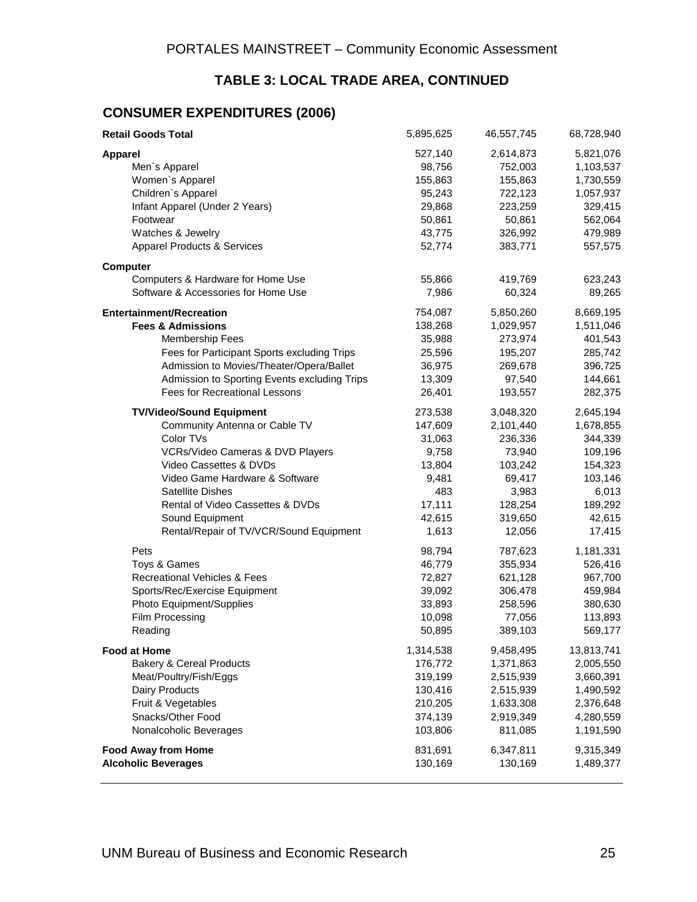### **TABLE 3: LOCAL TRADE AREA, CONTINUED**

#### **CONSUMER EXPENDITURES (2006)**

| <b>Retail Goods Total</b>                    | 5,895,625 | 46,557,745 | 68,728,940 |
|----------------------------------------------|-----------|------------|------------|
| <b>Apparel</b>                               | 527,140   | 2,614,873  | 5,821,076  |
| Men's Apparel                                | 98,756    | 752,003    | 1,103,537  |
| Women's Apparel                              | 155,863   | 155,863    | 1,730,559  |
| Children's Apparel                           | 95,243    | 722,123    | 1,057,937  |
| Infant Apparel (Under 2 Years)               | 29,868    | 223,259    | 329,415    |
| Footwear                                     | 50,861    | 50,861     | 562,064    |
| Watches & Jewelry                            | 43,775    | 326,992    | 479,989    |
| <b>Apparel Products &amp; Services</b>       | 52,774    | 383,771    | 557,575    |
| <b>Computer</b>                              |           |            |            |
| Computers & Hardware for Home Use            | 55,866    | 419,769    | 623,243    |
| Software & Accessories for Home Use          | 7,986     | 60,324     | 89,265     |
| <b>Entertainment/Recreation</b>              | 754,087   | 5,850,260  | 8,669,195  |
| <b>Fees &amp; Admissions</b>                 | 138,268   | 1,029,957  | 1,511,046  |
| <b>Membership Fees</b>                       | 35,988    | 273,974    | 401,543    |
| Fees for Participant Sports excluding Trips  | 25,596    | 195,207    | 285,742    |
| Admission to Movies/Theater/Opera/Ballet     | 36,975    | 269,678    | 396,725    |
| Admission to Sporting Events excluding Trips | 13,309    | 97,540     | 144,661    |
| Fees for Recreational Lessons                | 26,401    | 193,557    | 282,375    |
| <b>TV/Video/Sound Equipment</b>              | 273,538   | 3,048,320  | 2,645,194  |
| Community Antenna or Cable TV                | 147,609   | 2,101,440  | 1,678,855  |
| Color TVs                                    | 31,063    | 236,336    | 344,339    |
| VCRs/Video Cameras & DVD Players             | 9,758     | 73,940     | 109,196    |
| Video Cassettes & DVDs                       | 13,804    | 103,242    | 154,323    |
| Video Game Hardware & Software               | 9,481     | 69,417     | 103,146    |
| Satellite Dishes                             | 483       | 3,983      | 6,013      |
| Rental of Video Cassettes & DVDs             | 17,111    | 128,254    | 189,292    |
| Sound Equipment                              | 42,615    | 319,650    | 42,615     |
| Rental/Repair of TV/VCR/Sound Equipment      | 1,613     | 12,056     | 17,415     |
| Pets                                         | 98,794    | 787,623    | 1,181,331  |
| Toys & Games                                 | 46,779    | 355,934    | 526,416    |
| <b>Recreational Vehicles &amp; Fees</b>      | 72,827    | 621,128    | 967,700    |
| Sports/Rec/Exercise Equipment                | 39,092    | 306,478    | 459,984    |
| Photo Equipment/Supplies                     | 33,893    | 258,596    | 380,630    |
| Film Processing                              | 10,098    | 77,056     | 113,893    |
| Reading                                      | 50,895    | 389,103    | 569,177    |
| <b>Food at Home</b>                          | 1,314,538 | 9,458,495  | 13,813,741 |
| <b>Bakery &amp; Cereal Products</b>          | 176,772   | 1,371,863  | 2,005,550  |
| Meat/Poultry/Fish/Eggs                       | 319,199   | 2,515,939  | 3,660,391  |
| <b>Dairy Products</b>                        | 130,416   | 2,515,939  | 1,490,592  |
| Fruit & Vegetables                           | 210,205   | 1,633,308  | 2,376,648  |
| Snacks/Other Food                            | 374,139   | 2,919,349  | 4,280,559  |
| Nonalcoholic Beverages                       | 103,806   | 811,085    | 1,191,590  |
| <b>Food Away from Home</b>                   | 831,691   | 6,347,811  | 9,315,349  |
| <b>Alcoholic Beverages</b>                   | 130,169   | 130,169    | 1,489,377  |
|                                              |           |            |            |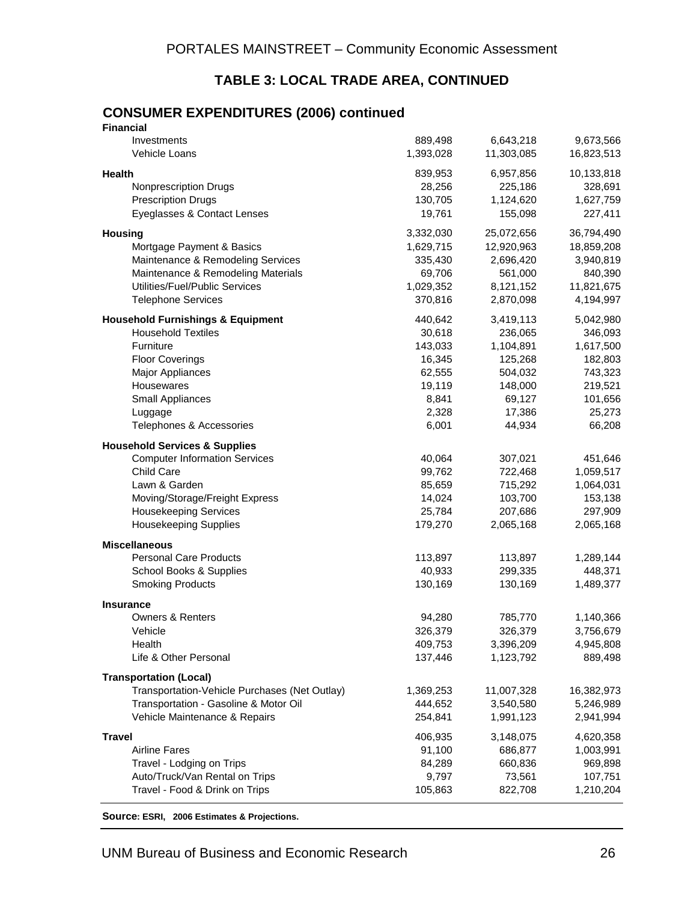#### **TABLE 3: LOCAL TRADE AREA, CONTINUED**

#### **CONSUMER EXPENDITURES (2006) continued Financial**

| <u>Filianulai</u>                             |           |            |            |
|-----------------------------------------------|-----------|------------|------------|
| Investments                                   | 889,498   | 6,643,218  | 9,673,566  |
| Vehicle Loans                                 | 1,393,028 | 11,303,085 | 16,823,513 |
| Health                                        | 839,953   | 6,957,856  | 10,133,818 |
| <b>Nonprescription Drugs</b>                  | 28,256    | 225,186    | 328,691    |
| <b>Prescription Drugs</b>                     | 130,705   | 1,124,620  | 1,627,759  |
| Eyeglasses & Contact Lenses                   | 19,761    | 155,098    | 227,411    |
| <b>Housing</b>                                | 3,332,030 | 25,072,656 | 36,794,490 |
| Mortgage Payment & Basics                     | 1,629,715 | 12,920,963 | 18,859,208 |
| Maintenance & Remodeling Services             | 335,430   | 2,696,420  | 3,940,819  |
| Maintenance & Remodeling Materials            | 69,706    | 561,000    | 840,390    |
| Utilities/Fuel/Public Services                | 1,029,352 | 8,121,152  | 11,821,675 |
| <b>Telephone Services</b>                     | 370,816   | 2,870,098  | 4,194,997  |
| <b>Household Furnishings &amp; Equipment</b>  | 440,642   | 3,419,113  | 5,042,980  |
| <b>Household Textiles</b>                     | 30,618    | 236,065    | 346,093    |
| Furniture                                     | 143,033   | 1,104,891  | 1,617,500  |
| <b>Floor Coverings</b>                        | 16,345    | 125,268    | 182,803    |
| <b>Major Appliances</b>                       | 62,555    | 504,032    | 743,323    |
| Housewares                                    | 19,119    | 148,000    | 219,521    |
| Small Appliances                              | 8,841     | 69,127     | 101,656    |
| Luggage                                       | 2,328     | 17,386     | 25,273     |
| Telephones & Accessories                      | 6,001     | 44,934     | 66,208     |
| <b>Household Services &amp; Supplies</b>      |           |            |            |
| <b>Computer Information Services</b>          | 40,064    | 307,021    | 451,646    |
| Child Care                                    | 99,762    | 722,468    | 1,059,517  |
| Lawn & Garden                                 | 85,659    | 715,292    | 1,064,031  |
| Moving/Storage/Freight Express                | 14,024    | 103,700    | 153,138    |
| <b>Housekeeping Services</b>                  | 25,784    | 207,686    | 297,909    |
| <b>Housekeeping Supplies</b>                  | 179,270   | 2,065,168  | 2,065,168  |
| <b>Miscellaneous</b>                          |           |            |            |
| <b>Personal Care Products</b>                 | 113,897   | 113,897    | 1,289,144  |
| School Books & Supplies                       | 40,933    | 299,335    | 448,371    |
| <b>Smoking Products</b>                       | 130,169   | 130,169    | 1,489,377  |
| <b>Insurance</b>                              |           |            |            |
| <b>Owners &amp; Renters</b>                   | 94,280    | 785,770    | 1,140,366  |
| Vehicle                                       | 326,379   | 326,379    | 3,756,679  |
| Health                                        | 409,753   | 3,396,209  | 4,945,808  |
| Life & Other Personal                         | 137,446   | 1,123,792  | 889,498    |
| <b>Transportation (Local)</b>                 |           |            |            |
| Transportation-Vehicle Purchases (Net Outlay) | 1,369,253 | 11,007,328 | 16,382,973 |
| Transportation - Gasoline & Motor Oil         | 444,652   | 3,540,580  | 5,246,989  |
| Vehicle Maintenance & Repairs                 | 254,841   | 1,991,123  | 2,941,994  |
| <b>Travel</b>                                 | 406,935   | 3,148,075  | 4,620,358  |
| <b>Airline Fares</b>                          | 91,100    | 686,877    | 1,003,991  |
| Travel - Lodging on Trips                     | 84,289    | 660,836    | 969,898    |
| Auto/Truck/Van Rental on Trips                | 9,797     | 73,561     | 107,751    |
| Travel - Food & Drink on Trips                | 105,863   | 822,708    | 1,210,204  |
|                                               |           |            |            |

**Source: ESRI, 2006 Estimates & Projections.**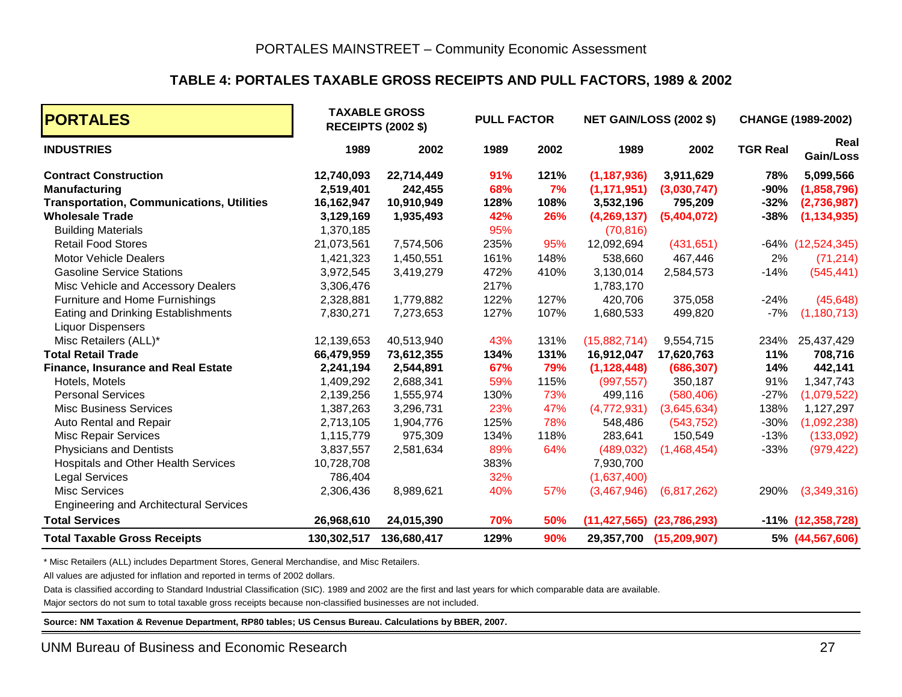#### **TABLE 4: PORTALES TAXABLE GROSS RECEIPTS AND PULL FACTORS, 1989 & 2002**

| <b>PORTALES</b>                                  |             | <b>TAXABLE GROSS</b><br><b>RECEIPTS (2002 \$)</b> | <b>PULL FACTOR</b> |      |               | <b>NET GAIN/LOSS (2002 \$)</b>    |                 | <b>CHANGE (1989-2002)</b> |
|--------------------------------------------------|-------------|---------------------------------------------------|--------------------|------|---------------|-----------------------------------|-----------------|---------------------------|
| <b>INDUSTRIES</b>                                | 1989        | 2002                                              | 1989               | 2002 | 1989          | 2002                              | <b>TGR Real</b> | Real<br>Gain/Loss         |
| <b>Contract Construction</b>                     | 12,740,093  | 22,714,449                                        | 91%                | 121% | (1, 187, 936) | 3,911,629                         | 78%             | 5,099,566                 |
| <b>Manufacturing</b>                             | 2,519,401   | 242,455                                           | 68%                | 7%   | (1, 171, 951) | (3,030,747)                       | $-90%$          | (1,858,796)               |
| <b>Transportation, Communications, Utilities</b> | 16,162,947  | 10,910,949                                        | 128%               | 108% | 3,532,196     | 795,209                           | $-32%$          | (2,736,987)               |
| <b>Wholesale Trade</b>                           | 3,129,169   | 1,935,493                                         | 42%                | 26%  | (4,269,137)   | (5,404,072)                       | $-38%$          | (1, 134, 935)             |
| <b>Building Materials</b>                        | 1,370,185   |                                                   | 95%                |      | (70, 816)     |                                   |                 |                           |
| <b>Retail Food Stores</b>                        | 21,073,561  | 7,574,506                                         | 235%               | 95%  | 12,092,694    | (431, 651)                        |                 | $-64\%$ $(12,524,345)$    |
| <b>Motor Vehicle Dealers</b>                     | 1,421,323   | 1,450,551                                         | 161%               | 148% | 538,660       | 467,446                           | 2%              | (71, 214)                 |
| <b>Gasoline Service Stations</b>                 | 3,972,545   | 3,419,279                                         | 472%               | 410% | 3,130,014     | 2,584,573                         | $-14%$          | (545, 441)                |
| Misc Vehicle and Accessory Dealers               | 3,306,476   |                                                   | 217%               |      | 1,783,170     |                                   |                 |                           |
| Furniture and Home Furnishings                   | 2,328,881   | 1,779,882                                         | 122%               | 127% | 420,706       | 375,058                           | $-24%$          | (45, 648)                 |
| Eating and Drinking Establishments               | 7,830,271   | 7,273,653                                         | 127%               | 107% | 1,680,533     | 499,820                           | $-7%$           | (1, 180, 713)             |
| <b>Liquor Dispensers</b>                         |             |                                                   |                    |      |               |                                   |                 |                           |
| Misc Retailers (ALL)*                            | 12,139,653  | 40,513,940                                        | 43%                | 131% | (15,882,714)  | 9,554,715                         | 234%            | 25,437,429                |
| <b>Total Retail Trade</b>                        | 66,479,959  | 73,612,355                                        | 134%               | 131% | 16,912,047    | 17,620,763                        | 11%             | 708,716                   |
| <b>Finance, Insurance and Real Estate</b>        | 2,241,194   | 2,544,891                                         | 67%                | 79%  | (1, 128, 448) | (686, 307)                        | 14%             | 442,141                   |
| Hotels, Motels                                   | 1,409,292   | 2,688,341                                         | 59%                | 115% | (997, 557)    | 350,187                           | 91%             | 1,347,743                 |
| <b>Personal Services</b>                         | 2,139,256   | 1,555,974                                         | 130%               | 73%  | 499,116       | (580, 406)                        | $-27%$          | (1,079,522)               |
| <b>Misc Business Services</b>                    | 1,387,263   | 3,296,731                                         | 23%                | 47%  | (4,772,931)   | (3,645,634)                       | 138%            | 1,127,297                 |
| Auto Rental and Repair                           | 2,713,105   | 1,904,776                                         | 125%               | 78%  | 548,486       | (543, 752)                        | $-30%$          | (1,092,238)               |
| <b>Misc Repair Services</b>                      | 1,115,779   | 975,309                                           | 134%               | 118% | 283,641       | 150,549                           | $-13%$          | (133,092)                 |
| <b>Physicians and Dentists</b>                   | 3,837,557   | 2,581,634                                         | 89%                | 64%  | (489, 032)    | (1,468,454)                       | $-33%$          | (979, 422)                |
| Hospitals and Other Health Services              | 10,728,708  |                                                   | 383%               |      | 7,930,700     |                                   |                 |                           |
| <b>Legal Services</b>                            | 786,404     |                                                   | 32%                |      | (1,637,400)   |                                   |                 |                           |
| <b>Misc Services</b>                             | 2,306,436   | 8,989,621                                         | 40%                | 57%  | (3,467,946)   | (6,817,262)                       | 290%            | (3,349,316)               |
| <b>Engineering and Architectural Services</b>    |             |                                                   |                    |      |               |                                   |                 |                           |
| <b>Total Services</b>                            | 26,968,610  | 24,015,390                                        | 70%                | 50%  |               | $(11, 427, 565)$ $(23, 786, 293)$ |                 | $-11\%$ (12,358,728)      |
| <b>Total Taxable Gross Receipts</b>              | 130,302,517 | 136,680,417                                       | 129%               | 90%  | 29,357,700    | (15, 209, 907)                    |                 | 5% (44,567,606)           |

\* Misc Retailers (ALL) includes Department Stores, General Merchandise, and Misc Retailers.

All values are adjusted for inflation and reported in terms of 2002 dollars.

Data is classified according to Standard Industrial Classification (SIC). 1989 and 2002 are the first and last years for which comparable data are available.

Major sectors do not sum to total taxable gross receipts because non-classified businesses are not included.

**Source: NM Taxation & Revenue Department, RP80 tables; US Census Bureau. Calculations by BBER, 2007.**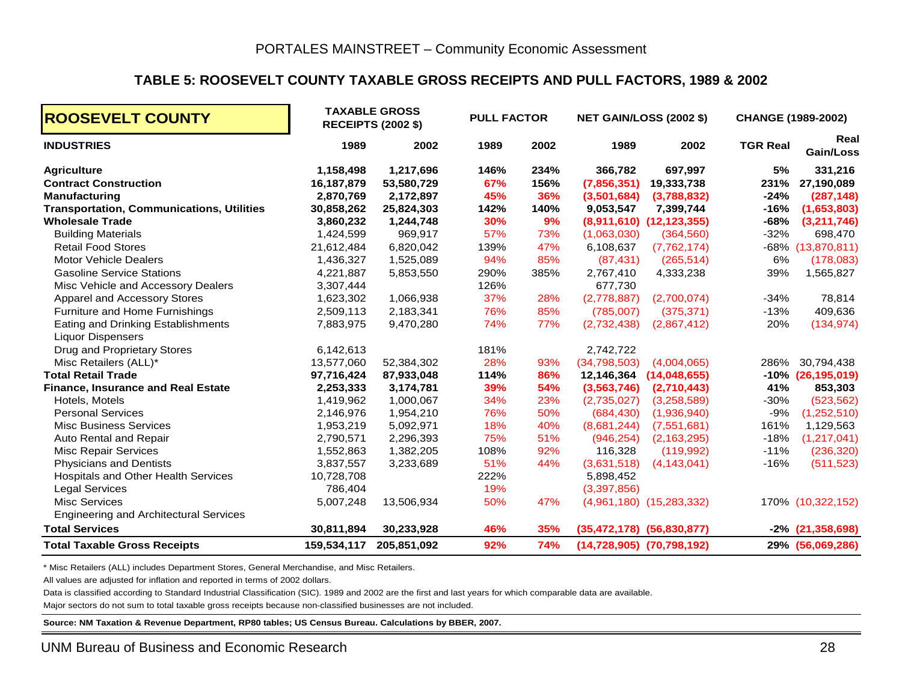#### **TABLE 5: ROOSEVELT COUNTY TAXABLE GROSS RECEIPTS AND PULL FACTORS, 1989 & 2002**

| <b>ROOSEVELT COUNTY</b>                                        |             | <b>TAXABLE GROSS</b><br><b>RECEIPTS (2002 \$)</b> | <b>PULL FACTOR</b> |      |               | <b>NET GAIN/LOSS (2002 \$)</b>    |                 | <b>CHANGE (1989-2002)</b> |
|----------------------------------------------------------------|-------------|---------------------------------------------------|--------------------|------|---------------|-----------------------------------|-----------------|---------------------------|
| <b>INDUSTRIES</b>                                              | 1989        | 2002                                              | 1989               | 2002 | 1989          | 2002                              | <b>TGR Real</b> | Real<br>Gain/Loss         |
| <b>Agriculture</b>                                             | 1,158,498   | 1,217,696                                         | 146%               | 234% | 366,782       | 697,997                           | 5%              | 331,216                   |
| <b>Contract Construction</b>                                   | 16,187,879  | 53,580,729                                        | 67%                | 156% | (7,856,351)   | 19,333,738                        | 231%            | 27,190,089                |
| <b>Manufacturing</b>                                           | 2,870,769   | 2,172,897                                         | 45%                | 36%  | (3,501,684)   | (3,788,832)                       | $-24%$          | (287, 148)                |
| <b>Transportation, Communications, Utilities</b>               | 30,858,262  | 25,824,303                                        | 142%               | 140% | 9,053,547     | 7,399,744                         | $-16%$          | (1,653,803)               |
| <b>Wholesale Trade</b>                                         | 3,860,232   | 1,244,748                                         | 30%                | 9%   |               | $(8,911,610)$ $(12,123,355)$      | -68%            | (3,211,746)               |
| <b>Building Materials</b>                                      | 1,424,599   | 969,917                                           | 57%                | 73%  | (1,063,030)   | (364, 560)                        | $-32%$          | 698,470                   |
| <b>Retail Food Stores</b>                                      | 21,612,484  | 6,820,042                                         | 139%               | 47%  | 6,108,637     | (7, 762, 174)                     |                 | -68% (13,870,811)         |
| <b>Motor Vehicle Dealers</b>                                   | 1,436,327   | 1,525,089                                         | 94%                | 85%  | (87, 431)     | (265, 514)                        | 6%              | (178,083)                 |
| <b>Gasoline Service Stations</b>                               | 4,221,887   | 5,853,550                                         | 290%               | 385% | 2,767,410     | 4,333,238                         | 39%             | 1,565,827                 |
| Misc Vehicle and Accessory Dealers                             | 3,307,444   |                                                   | 126%               |      | 677,730       |                                   |                 |                           |
| Apparel and Accessory Stores                                   | 1,623,302   | 1,066,938                                         | 37%                | 28%  | (2,778,887)   | (2,700,074)                       | $-34%$          | 78,814                    |
| Furniture and Home Furnishings                                 | 2,509,113   | 2,183,341                                         | 76%                | 85%  | (785,007)     | (375, 371)                        | $-13%$          | 409,636                   |
| Eating and Drinking Establishments<br><b>Liquor Dispensers</b> | 7,883,975   | 9,470,280                                         | 74%                | 77%  | (2,732,438)   | (2,867,412)                       | 20%             | (134, 974)                |
| Drug and Proprietary Stores                                    | 6,142,613   |                                                   | 181%               |      | 2,742,722     |                                   |                 |                           |
| Misc Retailers (ALL)*                                          | 13,577,060  | 52,384,302                                        | 28%                | 93%  | (34,798,503)  | (4,004,065)                       | 286%            | 30,794,438                |
| <b>Total Retail Trade</b>                                      | 97,716,424  | 87,933,048                                        | 114%               | 86%  | 12,146,364    | (14,048,655)                      |                 | $-10\%$ (26,195,019)      |
| <b>Finance, Insurance and Real Estate</b>                      | 2,253,333   | 3,174,781                                         | 39%                | 54%  | (3, 563, 746) | (2,710,443)                       | 41%             | 853,303                   |
| Hotels, Motels                                                 | 1,419,962   | 1,000,067                                         | 34%                | 23%  | (2,735,027)   | (3,258,589)                       | $-30%$          | (523, 562)                |
| <b>Personal Services</b>                                       | 2,146,976   | 1,954,210                                         | 76%                | 50%  | (684, 430)    | (1,936,940)                       | $-9%$           | (1,252,510)               |
| <b>Misc Business Services</b>                                  | 1,953,219   | 5,092,971                                         | 18%                | 40%  | (8,681,244)   | (7,551,681)                       | 161%            | 1,129,563                 |
| Auto Rental and Repair                                         | 2,790,571   | 2,296,393                                         | 75%                | 51%  | (946, 254)    | (2, 163, 295)                     | $-18%$          | (1,217,041)               |
| <b>Misc Repair Services</b>                                    | 1,552,863   | 1,382,205                                         | 108%               | 92%  | 116,328       | (119,992)                         | $-11%$          | (236, 320)                |
| <b>Physicians and Dentists</b>                                 | 3,837,557   | 3,233,689                                         | 51%                | 44%  | (3,631,518)   | (4, 143, 041)                     | $-16%$          | (511, 523)                |
| Hospitals and Other Health Services                            | 10,728,708  |                                                   | 222%               |      | 5,898,452     |                                   |                 |                           |
| <b>Legal Services</b>                                          | 786,404     |                                                   | 19%                |      | (3,397,856)   |                                   |                 |                           |
| <b>Misc Services</b>                                           | 5,007,248   | 13,506,934                                        | 50%                | 47%  |               | $(4,961,180)$ $(15,283,332)$      |                 | 170% (10,322,152)         |
| <b>Engineering and Architectural Services</b>                  |             |                                                   |                    |      |               |                                   |                 |                           |
| <b>Total Services</b>                                          | 30,811,894  | 30,233,928                                        | 46%                | 35%  |               | $(35,472,178)$ $(56,830,877)$     |                 | $-2\%$ (21,358,698)       |
| <b>Total Taxable Gross Receipts</b>                            | 159,534,117 | 205,851,092                                       | 92%                | 74%  |               | $(14, 728, 905)$ $(70, 798, 192)$ |                 | 29% (56,069,286)          |

\* Misc Retailers (ALL) includes Department Stores, General Merchandise, and Misc Retailers.

All values are adjusted for inflation and reported in terms of 2002 dollars.

Data is classified according to Standard Industrial Classification (SIC). 1989 and 2002 are the first and last years for which comparable data are available.

Major sectors do not sum to total taxable gross receipts because non-classified businesses are not included.

**Source: NM Taxation & Revenue Department, RP80 tables; US Census Bureau. Calculations by BBER, 2007.**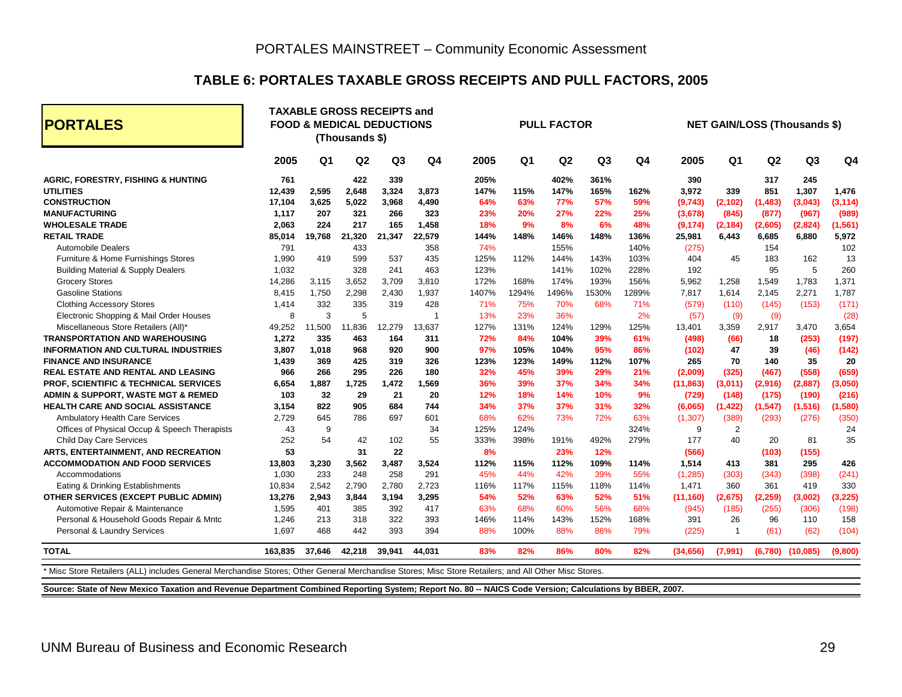#### **TABLE 6: PORTALES TAXABLE GROSS RECEIPTS AND PULL FACTORS, 2005**

| <b>PORTALES</b>                               |         |                | <b>TAXABLE GROSS RECEIPTS and</b><br><b>FOOD &amp; MEDICAL DEDUCTIONS</b><br>(Thousands \$) |                |                |       |                | <b>PULL FACTOR</b> |                |                |           |                |                | <b>NET GAIN/LOSS (Thousands \$)</b> |                |
|-----------------------------------------------|---------|----------------|---------------------------------------------------------------------------------------------|----------------|----------------|-------|----------------|--------------------|----------------|----------------|-----------|----------------|----------------|-------------------------------------|----------------|
|                                               | 2005    | Q <sub>1</sub> | Q <sub>2</sub>                                                                              | Q <sub>3</sub> | Q <sub>4</sub> | 2005  | Q <sub>1</sub> | Q <sub>2</sub>     | Q <sub>3</sub> | Q <sub>4</sub> | 2005      | Q <sub>1</sub> | Q <sub>2</sub> | Q <sub>3</sub>                      | Q <sub>4</sub> |
| <b>AGRIC, FORESTRY, FISHING &amp; HUNTING</b> | 761     |                | 422                                                                                         | 339            |                | 205%  |                | 402%               | 361%           |                | 390       |                | 317            | 245                                 |                |
| <b>UTILITIES</b>                              | 12.439  | 2,595          | 2,648                                                                                       | 3,324          | 3,873          | 147%  | 115%           | 147%               | 165%           | 162%           | 3,972     | 339            | 851            | 1,307                               | 1,476          |
| <b>CONSTRUCTION</b>                           | 17,104  | 3,625          | 5,022                                                                                       | 3,968          | 4,490          | 64%   | 63%            | <b>77%</b>         | 57%            | 59%            | (9,743)   | (2,102)        | (1, 483)       | (3,043)                             | (3, 114)       |
| <b>MANUFACTURING</b>                          | 1,117   | 207            | 321                                                                                         | 266            | 323            | 23%   | 20%            | 27%                | 22%            | 25%            | (3,678)   | (845)          | (877)          | (967)                               | (989)          |
| <b>WHOLESALE TRADE</b>                        | 2.063   | 224            | 217                                                                                         | 165            | 1,458          | 18%   | 9%             | 8%                 | 6%             | 48%            | (9, 174)  | (2, 184)       | (2,605)        | (2,824)                             | (1, 561)       |
| <b>RETAIL TRADE</b>                           | 85,014  | 19.768         | 21,320                                                                                      | 21.347         | 22,579         | 144%  | 148%           | 146%               | 148%           | 136%           | 25,981    | 6.443          | 6,685          | 6.880                               | 5,972          |
| <b>Automobile Dealers</b>                     | 791     |                | 433                                                                                         |                | 358            | 74%   |                | 155%               |                | 140%           | (275)     |                | 154            |                                     | 102            |
| Furniture & Home Furnishings Stores           | 1,990   | 419            | 599                                                                                         | 537            | 435            | 125%  | 112%           | 144%               | 143%           | 103%           | 404       | 45             | 183            | 162                                 | 13             |
| <b>Building Material &amp; Supply Dealers</b> | 1,032   |                | 328                                                                                         | 241            | 463            | 123%  |                | 141%               | 102%           | 228%           | 192       |                | 95             | 5                                   | 260            |
| <b>Grocery Stores</b>                         | 14,286  | 3,115          | 3,652                                                                                       | 3,709          | 3,810          | 172%  | 168%           | 174%               | 193%           | 156%           | 5,962     | 1,258          | 1,549          | 1,783                               | 1,371          |
| <b>Gasoline Stations</b>                      | 8.415   | 1.750          | 2,298                                                                                       | 2,430          | 1,937          | 1407% | 1294%          | 1496%              | 1530%          | 1289%          | 7.817     | 1,614          | 2,145          | 2,271                               | 1,787          |
| <b>Clothing Accessory Stores</b>              | 1.414   | 332            | 335                                                                                         | 319            | 428            | 71%   | 75%            | 70%                | 68%            | 71%            | (579)     | (110)          | (145)          | (153)                               | (171)          |
| Electronic Shopping & Mail Order Houses       | 8       | 3              | 5                                                                                           |                | $\overline{1}$ | 13%   | 23%            | 36%                |                | 2%             | (57)      | (9)            | (9)            |                                     | (28)           |
| Miscellaneous Store Retailers (All)*          | 49,252  | 11,500         | 11,836                                                                                      | 12,279         | 13,637         | 127%  | 131%           | 124%               | 129%           | 125%           | 13,401    | 3,359          | 2,917          | 3,470                               | 3,654          |
| <b>TRANSPORTATION AND WAREHOUSING</b>         | 1,272   | 335            | 463                                                                                         | 164            | 311            | 72%   | 84%            | 104%               | 39%            | 61%            | (498)     | (66)           | 18             | (253)                               | (197)          |
| <b>INFORMATION AND CULTURAL INDUSTRIES</b>    | 3.807   | 1.018          | 968                                                                                         | 920            | 900            | 97%   | 105%           | 104%               | 95%            | 86%            | (102)     | 47             | 39             | (46)                                | (142)          |
| <b>FINANCE AND INSURANCE</b>                  | 1.439   | 369            | 425                                                                                         | 319            | 326            | 123%  | 123%           | 149%               | 112%           | 107%           | 265       | 70             | 140            | 35                                  | 20             |
| <b>REAL ESTATE AND RENTAL AND LEASING</b>     | 966     | 266            | 295                                                                                         | 226            | 180            | 32%   | 45%            | 39%                | 29%            | 21%            | (2,009)   | (325)          | (467)          | (558)                               | (659)          |
| PROF, SCIENTIFIC & TECHNICAL SERVICES         | 6,654   | 1,887          | 1,725                                                                                       | 1,472          | 1,569          | 36%   | 39%            | 37%                | 34%            | 34%            | (11, 863) | (3,011)        | (2,916)        | (2,887)                             | (3,050)        |
| ADMIN & SUPPORT, WASTE MGT & REMED            | 103     | 32             | 29                                                                                          | 21             | 20             | 12%   | 18%            | 14%                | 10%            | 9%             | (729)     | (148)          | (175)          | (190)                               | (216)          |
| <b>HEALTH CARE AND SOCIAL ASSISTANCE</b>      | 3.154   | 822            | 905                                                                                         | 684            | 744            | 34%   | 37%            | 37%                | 31%            | 32%            | (6,065)   | (1, 422)       | (1, 547)       | (1, 516)                            | (1,580)        |
| <b>Ambulatory Health Care Services</b>        | 2.729   | 645            | 786                                                                                         | 697            | 601            | 68%   | 62%            | 73%                | 72%            | 63%            | (1,307)   | (389)          | (293)          | (276)                               | (350)          |
| Offices of Physical Occup & Speech Therapists | 43      | 9              |                                                                                             |                | 34             | 125%  | 124%           |                    |                | 324%           | 9         | 2              |                |                                     | 24             |
| <b>Child Day Care Services</b>                | 252     | 54             | 42                                                                                          | 102            | 55             | 333%  | 398%           | 191%               | 492%           | 279%           | 177       | 40             | 20             | 81                                  | 35             |
| ARTS, ENTERTAINMENT, AND RECREATION           | 53      |                | 31                                                                                          | 22             |                | 8%    |                | 23%                | 12%            |                | (566)     |                | (103)          | (155)                               |                |
| <b>ACCOMMODATION AND FOOD SERVICES</b>        | 13,803  | 3,230          | 3,562                                                                                       | 3,487          | 3,524          | 112%  | 115%           | 112%               | 109%           | 114%           | 1,514     | 413            | 381            | 295                                 | 426            |
| Accommodations                                | 1,030   | 233            | 248                                                                                         | 258            | 291            | 45%   | 44%            | 42%                | 39%            | 55%            | (1, 285)  | (303)          | (343)          | (398)                               | (241)          |
| Eating & Drinking Establishments              | 10,834  | 2,542          | 2,790                                                                                       | 2,780          | 2,723          | 116%  | 117%           | 115%               | 118%           | 114%           | 1,471     | 360            | 361            | 419                                 | 330            |
| OTHER SERVICES (EXCEPT PUBLIC ADMIN)          | 13,276  | 2,943          | 3,844                                                                                       | 3,194          | 3,295          | 54%   | 52%            | 63%                | 52%            | 51%            | (11, 160) | (2,675)        | (2, 259)       | (3,002)                             | (3, 225)       |
| Automotive Repair & Maintenance               | 1,595   | 401            | 385                                                                                         | 392            | 417            | 63%   | 68%            | 60%                | 56%            | 68%            | (945)     | (185)          | (255)          | (306)                               | (198)          |
| Personal & Household Goods Repair & Mntc      | 1,246   | 213            | 318                                                                                         | 322            | 393            | 146%  | 114%           | 143%               | 152%           | 168%           | 391       | 26             | 96             | 110                                 | 158            |
| Personal & Laundry Services                   | 1,697   | 468            | 442                                                                                         | 393            | 394            | 88%   | 100%           | 88%                | 86%            | 79%            | (225)     | -1             | (61)           | (62)                                | (104)          |
| <b>TOTAL</b>                                  | 163,835 | 37,646         | 42,218                                                                                      | 39,941         | 44.031         | 83%   | 82%            | 86%                | 80%            | 82%            | (34,656)  | (7,991)        | (6,780)        | (10,085)                            | (9,800)        |

**Source: State of New Mexico Taxation and Revenue Department Combined Reporting System; Report No. 80 -- NAICS Code Version; Calculations by BBER, 2007.**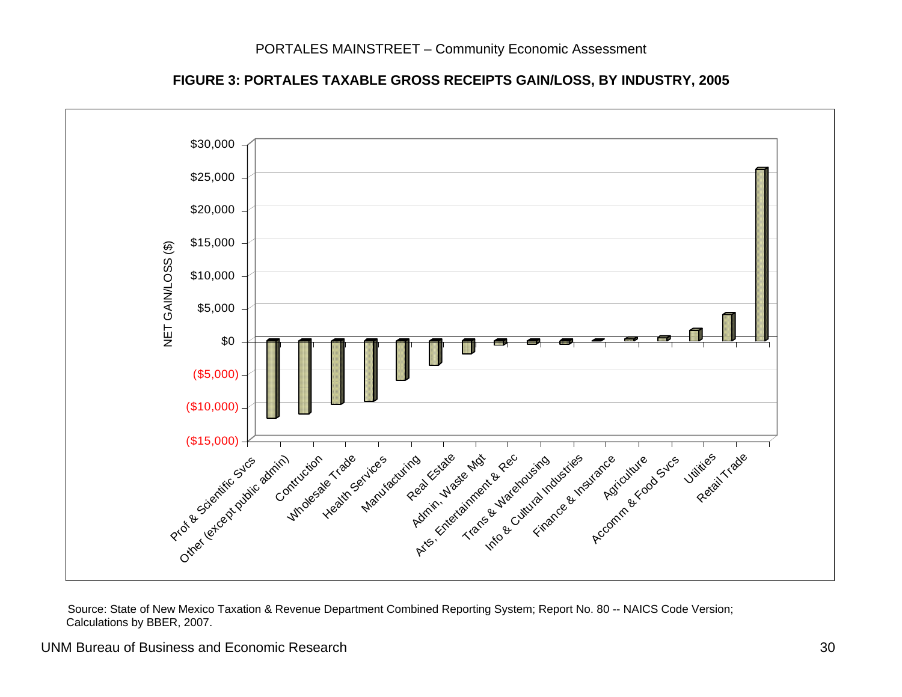



Source: State of New Mexico Taxation & Revenue Department Combined Reporting System; Report No. 80 -- NAICS Code Version; Calculations by BBER, 2007.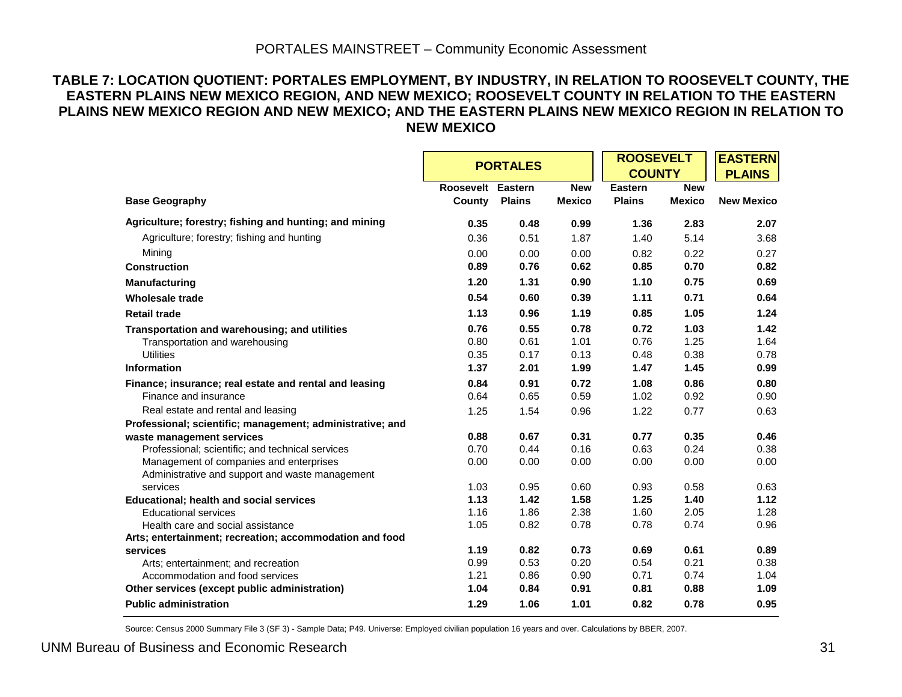#### PORTALES MAINSTREET – Community Economic Assessment

#### **TABLE 7: LOCATION QUOTIENT: PORTALES EMPLOYMENT, BY INDUSTRY, IN RELATION TO ROOSEVELT COUNTY, THE EASTERN PLAINS NEW MEXICO REGION, AND NEW MEXICO; ROOSEVELT COUNTY IN RELATION TO THE EASTERN PLAINS NEW MEXICO REGION AND NEW MEXICO; AND THE EASTERN PLAINS NEW MEXICO REGION IN RELATION TO NEW MEXICO**

|                                                                     |                   | <b>PORTALES</b> |               | <b>ROOSEVELT</b> |               | <b>EASTERN</b>    |
|---------------------------------------------------------------------|-------------------|-----------------|---------------|------------------|---------------|-------------------|
|                                                                     |                   |                 |               | <b>COUNTY</b>    |               | <b>PLAINS</b>     |
|                                                                     | Roosevelt Eastern |                 | <b>New</b>    | <b>Eastern</b>   | <b>New</b>    |                   |
| <b>Base Geography</b>                                               | County            | <b>Plains</b>   | <b>Mexico</b> | <b>Plains</b>    | <b>Mexico</b> | <b>New Mexico</b> |
| Agriculture; forestry; fishing and hunting; and mining              | 0.35              | 0.48            | 0.99          | 1.36             | 2.83          | 2.07              |
| Agriculture; forestry; fishing and hunting                          | 0.36              | 0.51            | 1.87          | 1.40             | 5.14          | 3.68              |
| Mining                                                              | 0.00              | 0.00            | 0.00          | 0.82             | 0.22          | 0.27              |
| <b>Construction</b>                                                 | 0.89              | 0.76            | 0.62          | 0.85             | 0.70          | 0.82              |
| <b>Manufacturing</b>                                                | 1.20              | 1.31            | 0.90          | 1.10             | 0.75          | 0.69              |
| <b>Wholesale trade</b>                                              | 0.54              | 0.60            | 0.39          | 1.11             | 0.71          | 0.64              |
| <b>Retail trade</b>                                                 | 1.13              | 0.96            | 1.19          | 0.85             | 1.05          | 1.24              |
| Transportation and warehousing; and utilities                       | 0.76              | 0.55            | 0.78          | 0.72             | 1.03          | 1.42              |
| Transportation and warehousing                                      | 0.80              | 0.61            | 1.01          | 0.76             | 1.25          | 1.64              |
| <b>Utilities</b>                                                    | 0.35              | 0.17            | 0.13          | 0.48             | 0.38          | 0.78              |
| <b>Information</b>                                                  | 1.37              | 2.01            | 1.99          | 1.47             | 1.45          | 0.99              |
| Finance; insurance; real estate and rental and leasing              | 0.84              | 0.91            | 0.72          | 1.08             | 0.86          | 0.80              |
| Finance and insurance                                               | 0.64              | 0.65            | 0.59          | 1.02             | 0.92          | 0.90              |
| Real estate and rental and leasing                                  | 1.25              | 1.54            | 0.96          | 1.22             | 0.77          | 0.63              |
| Professional; scientific; management; administrative; and           |                   |                 |               |                  |               |                   |
| waste management services                                           | 0.88              | 0.67            | 0.31          | 0.77             | 0.35          | 0.46              |
| Professional; scientific; and technical services                    | 0.70              | 0.44            | 0.16          | 0.63             | 0.24          | 0.38              |
| Management of companies and enterprises                             | 0.00              | 0.00            | 0.00          | 0.00             | 0.00          | 0.00              |
| Administrative and support and waste management                     |                   |                 |               |                  |               |                   |
| services                                                            | 1.03              | 0.95            | 0.60          | 0.93             | 0.58          | 0.63              |
| <b>Educational; health and social services</b>                      | 1.13              | 1.42            | 1.58          | 1.25             | 1.40          | 1.12              |
| <b>Educational services</b>                                         | 1.16              | 1.86            | 2.38          | 1.60             | 2.05          | 1.28              |
| Health care and social assistance                                   | 1.05              | 0.82            | 0.78          | 0.78             | 0.74          | 0.96              |
| Arts; entertainment; recreation; accommodation and food<br>services | 1.19              | 0.82            | 0.73          | 0.69             | 0.61          | 0.89              |
| Arts; entertainment; and recreation                                 | 0.99              | 0.53            | 0.20          | 0.54             | 0.21          | 0.38              |
| Accommodation and food services                                     | 1.21              | 0.86            | 0.90          | 0.71             | 0.74          | 1.04              |
|                                                                     | 1.04              | 0.84            | 0.91          | 0.81             | 0.88          | 1.09              |
| Other services (except public administration)                       |                   |                 |               |                  |               |                   |
| <b>Public administration</b>                                        | 1.29              | 1.06            | 1.01          | 0.82             | 0.78          | 0.95              |

Source: Census 2000 Summary File 3 (SF 3) - Sample Data; P49. Universe: Employed civilian population 16 years and over. Calculations by BBER, 2007.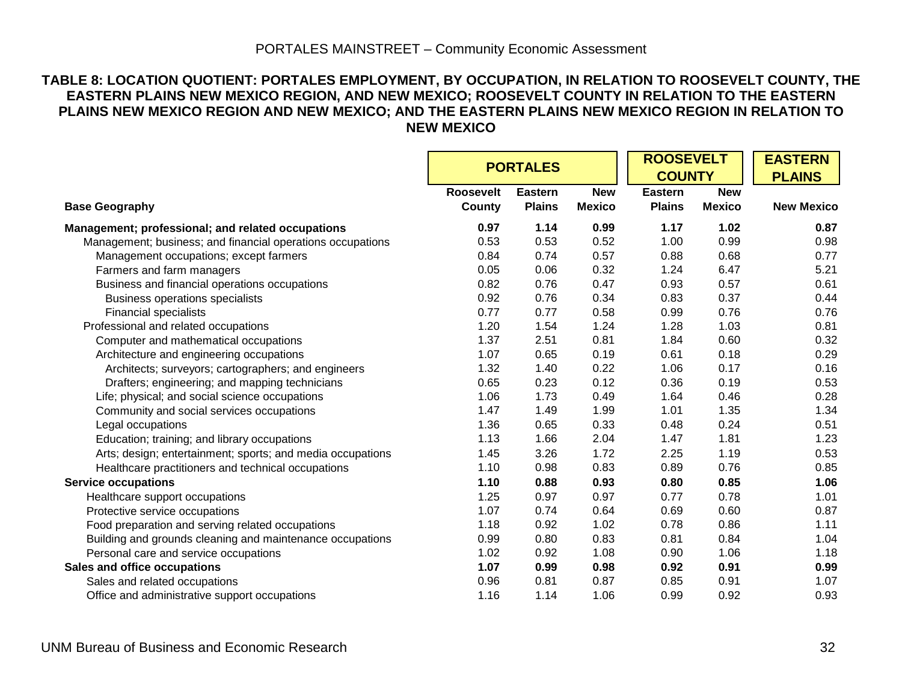#### **TABLE 8: LOCATION QUOTIENT: PORTALES EMPLOYMENT, BY OCCUPATION, IN RELATION TO ROOSEVELT COUNTY, THE EASTERN PLAINS NEW MEXICO REGION, AND NEW MEXICO; ROOSEVELT COUNTY IN RELATION TO THE EASTERN PLAINS NEW MEXICO REGION AND NEW MEXICO; AND THE EASTERN PLAINS NEW MEXICO REGION IN RELATION TO NEW MEXICO**

|                                                            | <b>PORTALES</b>            |                                 |                             | <b>ROOSEVELT</b><br><b>COUNTY</b> |                             | <b>EASTERN</b><br><b>PLAINS</b> |
|------------------------------------------------------------|----------------------------|---------------------------------|-----------------------------|-----------------------------------|-----------------------------|---------------------------------|
| <b>Base Geography</b>                                      | <b>Roosevelt</b><br>County | <b>Eastern</b><br><b>Plains</b> | <b>New</b><br><b>Mexico</b> | <b>Eastern</b><br><b>Plains</b>   | <b>New</b><br><b>Mexico</b> | <b>New Mexico</b>               |
| Management; professional; and related occupations          | 0.97                       | 1.14                            | 0.99                        | 1.17                              | 1.02                        | 0.87                            |
| Management; business; and financial operations occupations | 0.53                       | 0.53                            | 0.52                        | 1.00                              | 0.99                        | 0.98                            |
| Management occupations; except farmers                     | 0.84                       | 0.74                            | 0.57                        | 0.88                              | 0.68                        | 0.77                            |
| Farmers and farm managers                                  | 0.05                       | 0.06                            | 0.32                        | 1.24                              | 6.47                        | 5.21                            |
| Business and financial operations occupations              | 0.82                       | 0.76                            | 0.47                        | 0.93                              | 0.57                        | 0.61                            |
| <b>Business operations specialists</b>                     | 0.92                       | 0.76                            | 0.34                        | 0.83                              | 0.37                        | 0.44                            |
| <b>Financial specialists</b>                               | 0.77                       | 0.77                            | 0.58                        | 0.99                              | 0.76                        | 0.76                            |
| Professional and related occupations                       | 1.20                       | 1.54                            | 1.24                        | 1.28                              | 1.03                        | 0.81                            |
| Computer and mathematical occupations                      | 1.37                       | 2.51                            | 0.81                        | 1.84                              | 0.60                        | 0.32                            |
| Architecture and engineering occupations                   | 1.07                       | 0.65                            | 0.19                        | 0.61                              | 0.18                        | 0.29                            |
| Architects; surveyors; cartographers; and engineers        | 1.32                       | 1.40                            | 0.22                        | 1.06                              | 0.17                        | 0.16                            |
| Drafters; engineering; and mapping technicians             | 0.65                       | 0.23                            | 0.12                        | 0.36                              | 0.19                        | 0.53                            |
| Life; physical; and social science occupations             | 1.06                       | 1.73                            | 0.49                        | 1.64                              | 0.46                        | 0.28                            |
| Community and social services occupations                  | 1.47                       | 1.49                            | 1.99                        | 1.01                              | 1.35                        | 1.34                            |
| Legal occupations                                          | 1.36                       | 0.65                            | 0.33                        | 0.48                              | 0.24                        | 0.51                            |
| Education; training; and library occupations               | 1.13                       | 1.66                            | 2.04                        | 1.47                              | 1.81                        | 1.23                            |
| Arts; design; entertainment; sports; and media occupations | 1.45                       | 3.26                            | 1.72                        | 2.25                              | 1.19                        | 0.53                            |
| Healthcare practitioners and technical occupations         | 1.10                       | 0.98                            | 0.83                        | 0.89                              | 0.76                        | 0.85                            |
| <b>Service occupations</b>                                 | 1.10                       | 0.88                            | 0.93                        | 0.80                              | 0.85                        | 1.06                            |
| Healthcare support occupations                             | 1.25                       | 0.97                            | 0.97                        | 0.77                              | 0.78                        | 1.01                            |
| Protective service occupations                             | 1.07                       | 0.74                            | 0.64                        | 0.69                              | 0.60                        | 0.87                            |
| Food preparation and serving related occupations           | 1.18                       | 0.92                            | 1.02                        | 0.78                              | 0.86                        | 1.11                            |
| Building and grounds cleaning and maintenance occupations  | 0.99                       | 0.80                            | 0.83                        | 0.81                              | 0.84                        | 1.04                            |
| Personal care and service occupations                      | 1.02                       | 0.92                            | 1.08                        | 0.90                              | 1.06                        | 1.18                            |
| Sales and office occupations                               | 1.07                       | 0.99                            | 0.98                        | 0.92                              | 0.91                        | 0.99                            |
| Sales and related occupations                              | 0.96                       | 0.81                            | 0.87                        | 0.85                              | 0.91                        | 1.07                            |
| Office and administrative support occupations              | 1.16                       | 1.14                            | 1.06                        | 0.99                              | 0.92                        | 0.93                            |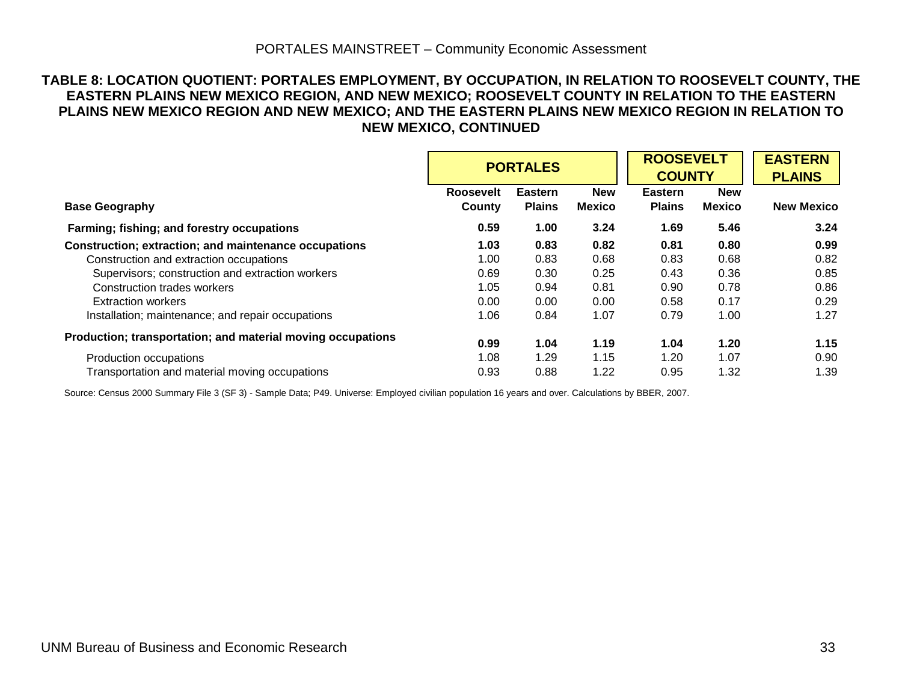#### **TABLE 8: LOCATION QUOTIENT: PORTALES EMPLOYMENT, BY OCCUPATION, IN RELATION TO ROOSEVELT COUNTY, THE EASTERN PLAINS NEW MEXICO REGION, AND NEW MEXICO; ROOSEVELT COUNTY IN RELATION TO THE EASTERN PLAINS NEW MEXICO REGION AND NEW MEXICO; AND THE EASTERN PLAINS NEW MEXICO REGION IN RELATION TO NEW MEXICO, CONTINUED**

|                                                             |                            | <b>PORTALES</b>                 |                             | <b>ROOSEVELT</b><br><b>COUNTY</b> |                             | <b>EASTERN</b><br><b>PLAINS</b> |
|-------------------------------------------------------------|----------------------------|---------------------------------|-----------------------------|-----------------------------------|-----------------------------|---------------------------------|
| <b>Base Geography</b>                                       | <b>Roosevelt</b><br>County | <b>Eastern</b><br><b>Plains</b> | <b>New</b><br><b>Mexico</b> | <b>Eastern</b><br><b>Plains</b>   | <b>New</b><br><b>Mexico</b> | <b>New Mexico</b>               |
| Farming; fishing; and forestry occupations                  | 0.59                       | 1.00                            | 3.24                        | 1.69                              | 5.46                        | 3.24                            |
| Construction; extraction; and maintenance occupations       | 1.03                       | 0.83                            | 0.82                        | 0.81                              | 0.80                        | 0.99                            |
| Construction and extraction occupations                     | 1.00                       | 0.83                            | 0.68                        | 0.83                              | 0.68                        | 0.82                            |
| Supervisors; construction and extraction workers            | 0.69                       | 0.30                            | 0.25                        | 0.43                              | 0.36                        | 0.85                            |
| Construction trades workers                                 | 1.05                       | 0.94                            | 0.81                        | 0.90                              | 0.78                        | 0.86                            |
| Extraction workers                                          | 0.00                       | 0.00                            | 0.00                        | 0.58                              | 0.17                        | 0.29                            |
| Installation; maintenance; and repair occupations           | 1.06                       | 0.84                            | 1.07                        | 0.79                              | 1.00                        | 1.27                            |
| Production; transportation; and material moving occupations | 0.99                       | 1.04                            | 1.19                        | 1.04                              | 1.20                        | 1.15                            |
| Production occupations                                      | 1.08                       | 1.29                            | 1.15                        | 1.20                              | 1.07                        | 0.90                            |
| Transportation and material moving occupations              | 0.93                       | 0.88                            | 1.22                        | 0.95                              | 1.32                        | 1.39                            |

Source: Census 2000 Summary File 3 (SF 3) - Sample Data; P49. Universe: Employed civilian population 16 years and over. Calculations by BBER, 2007.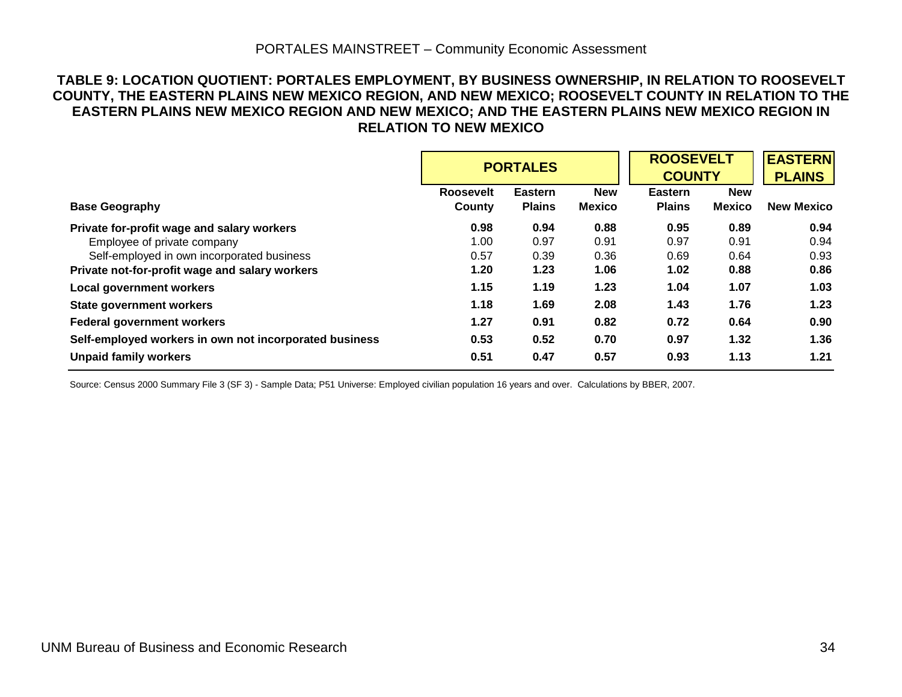#### PORTALES MAINSTREET – Community Economic Assessment

#### **TABLE 9: LOCATION QUOTIENT: PORTALES EMPLOYMENT, BY BUSINESS OWNERSHIP, IN RELATION TO ROOSEVELT COUNTY, THE EASTERN PLAINS NEW MEXICO REGION, AND NEW MEXICO; ROOSEVELT COUNTY IN RELATION TO THE EASTERN PLAINS NEW MEXICO REGION AND NEW MEXICO; AND THE EASTERN PLAINS NEW MEXICO REGION IN RELATION TO NEW MEXICO**

|                                                        |                  | <b>PORTALES</b> |               | <b>ROOSEVELT</b><br><b>COUNTY</b> | <b>EASTERN</b><br><b>PLAINS</b> |                   |
|--------------------------------------------------------|------------------|-----------------|---------------|-----------------------------------|---------------------------------|-------------------|
|                                                        | <b>Roosevelt</b> | <b>Eastern</b>  | <b>New</b>    | <b>Eastern</b>                    | <b>New</b>                      |                   |
| <b>Base Geography</b>                                  | County           | <b>Plains</b>   | <b>Mexico</b> | <b>Plains</b>                     | <b>Mexico</b>                   | <b>New Mexico</b> |
| Private for-profit wage and salary workers             | 0.98             | 0.94            | 0.88          | 0.95                              | 0.89                            | 0.94              |
| Employee of private company                            | 1.00             | 0.97            | 0.91          | 0.97                              | 0.91                            | 0.94              |
| Self-employed in own incorporated business             | 0.57             | 0.39            | 0.36          | 0.69                              | 0.64                            | 0.93              |
| Private not-for-profit wage and salary workers         | 1.20             | 1.23            | 1.06          | 1.02                              | 0.88                            | 0.86              |
| <b>Local government workers</b>                        | 1.15             | 1.19            | 1.23          | 1.04                              | 1.07                            | 1.03              |
| <b>State government workers</b>                        | 1.18             | 1.69            | 2.08          | 1.43                              | 1.76                            | 1.23              |
| <b>Federal government workers</b>                      | 1.27             | 0.91            | 0.82          | 0.72                              | 0.64                            | 0.90              |
| Self-employed workers in own not incorporated business | 0.53             | 0.52            | 0.70          | 0.97                              | 1.32                            | 1.36              |
| <b>Unpaid family workers</b>                           | 0.51             | 0.47            | 0.57          | 0.93                              | 1.13                            | 1.21              |

Source: Census 2000 Summary File 3 (SF 3) - Sample Data; P51 Universe: Employed civilian population 16 years and over. Calculations by BBER, 2007.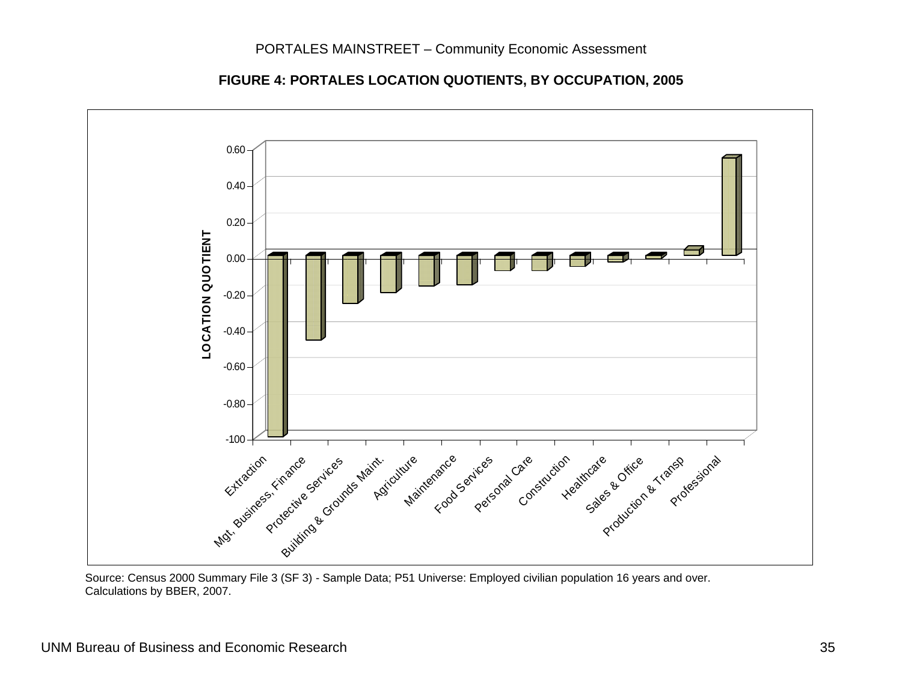**FIGURE 4: PORTALES LOCATION QUOTIENTS, BY OCCUPATION, 2005** 



 Source: Census 2000 Summary File 3 (SF 3) - Sample Data; P51 Universe: Employed civilian population 16 years and over. Calculations by BBER, 2007.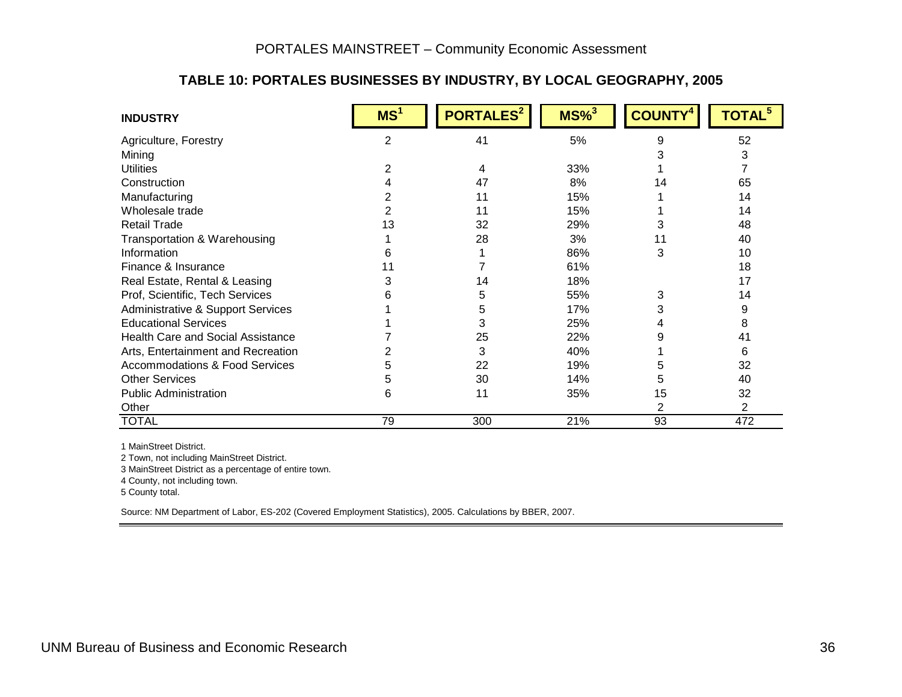#### **TABLE 10: PORTALES BUSINESSES BY INDUSTRY, BY LOCAL GEOGRAPHY, 2005**

| <b>INDUSTRY</b>                              | MS <sup>1</sup> | PORTALES <sup>2</sup> | $MS\%$ <sup>3</sup> | <b>COUNTY</b> | <b>TOTAL<sup>5</sup></b> |
|----------------------------------------------|-----------------|-----------------------|---------------------|---------------|--------------------------|
| Agriculture, Forestry                        | $\overline{2}$  | 41                    | 5%                  | 9             | 52                       |
| Mining                                       |                 |                       |                     |               | 3                        |
| <b>Utilities</b>                             |                 | 4                     | 33%                 |               | 7                        |
| Construction                                 |                 | 47                    | 8%                  | 14            | 65                       |
| Manufacturing                                |                 | 11                    | 15%                 |               | 14                       |
| Wholesale trade                              |                 | 11                    | 15%                 |               | 14                       |
| <b>Retail Trade</b>                          | 13              | 32                    | 29%                 | 3             | 48                       |
| Transportation & Warehousing                 |                 | 28                    | 3%                  | 11            | 40                       |
| Information                                  |                 |                       | 86%                 | 3             | 10                       |
| Finance & Insurance                          |                 |                       | 61%                 |               | 18                       |
| Real Estate, Rental & Leasing                |                 | 14                    | 18%                 |               | 17                       |
| Prof, Scientific, Tech Services              |                 | 5                     | 55%                 | 3             | 14                       |
| <b>Administrative &amp; Support Services</b> |                 | 5                     | 17%                 | 3             | 9                        |
| <b>Educational Services</b>                  |                 | 3                     | 25%                 |               | 8                        |
| <b>Health Care and Social Assistance</b>     |                 | 25                    | 22%                 | 9             | 41                       |
| Arts, Entertainment and Recreation           |                 | 3                     | 40%                 |               | 6                        |
| <b>Accommodations &amp; Food Services</b>    |                 | 22                    | 19%                 | 5             | 32                       |
| <b>Other Services</b>                        | h               | 30                    | 14%                 | 5             | 40                       |
| <b>Public Administration</b>                 | 6               | 11                    | 35%                 | 15            | 32                       |
| Other                                        |                 |                       |                     |               | $\overline{2}$           |
| <b>TOTAL</b>                                 | 79              | 300                   | 21%                 | 93            | 472                      |

1 MainStreet District.

2 Town, not including MainStreet District.

3 MainStreet District as a percentage of entire town.

4 County, not including town.

5 County total.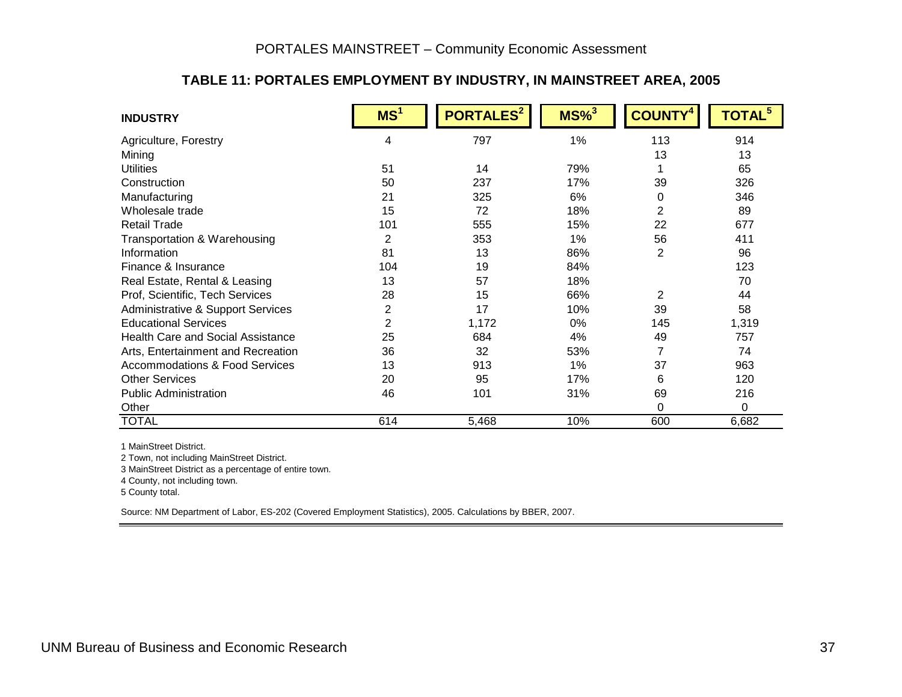#### **TABLE 11: PORTALES EMPLOYMENT BY INDUSTRY, IN MAINSTREET AREA, 2005**

| <b>INDUSTRY</b>                              | MS <sup>1</sup> | <b>PORTALES<sup>2</sup></b> | $MS\%$ <sup>3</sup> | <b>COUNT)</b>  | <b>TOTAL<sup>5</sup></b> |
|----------------------------------------------|-----------------|-----------------------------|---------------------|----------------|--------------------------|
| Agriculture, Forestry                        | 4               | 797                         | 1%                  | 113            | 914                      |
| Mining                                       |                 |                             |                     | 13             | 13                       |
| <b>Utilities</b>                             | 51              | 14                          | 79%                 |                | 65                       |
| Construction                                 | 50              | 237                         | 17%                 | 39             | 326                      |
| Manufacturing                                | 21              | 325                         | 6%                  | 0              | 346                      |
| Wholesale trade                              | 15              | 72                          | 18%                 | $\overline{2}$ | 89                       |
| <b>Retail Trade</b>                          | 101             | 555                         | 15%                 | 22             | 677                      |
| Transportation & Warehousing                 | 2               | 353                         | 1%                  | 56             | 411                      |
| Information                                  | 81              | 13                          | 86%                 | 2              | 96                       |
| Finance & Insurance                          | 104             | 19                          | 84%                 |                | 123                      |
| Real Estate, Rental & Leasing                | 13              | 57                          | 18%                 |                | 70                       |
| Prof, Scientific, Tech Services              | 28              | 15                          | 66%                 | $\overline{2}$ | 44                       |
| <b>Administrative &amp; Support Services</b> | 2               | 17                          | 10%                 | 39             | 58                       |
| <b>Educational Services</b>                  | $\overline{2}$  | 1,172                       | $0\%$               | 145            | 1,319                    |
| <b>Health Care and Social Assistance</b>     | 25              | 684                         | 4%                  | 49             | 757                      |
| Arts, Entertainment and Recreation           | 36              | 32                          | 53%                 | $\overline{7}$ | 74                       |
| <b>Accommodations &amp; Food Services</b>    | 13              | 913                         | 1%                  | 37             | 963                      |
| <b>Other Services</b>                        | 20              | 95                          | 17%                 | 6              | 120                      |
| <b>Public Administration</b>                 | 46              | 101                         | 31%                 | 69             | 216                      |
| Other                                        |                 |                             |                     | $\Omega$       | 0                        |
| <b>TOTAL</b>                                 | 614             | 5,468                       | 10%                 | 600            | 6,682                    |

1 MainStreet District.

2 Town, not including MainStreet District.

3 MainStreet District as a percentage of entire town.

4 County, not including town.

5 County total.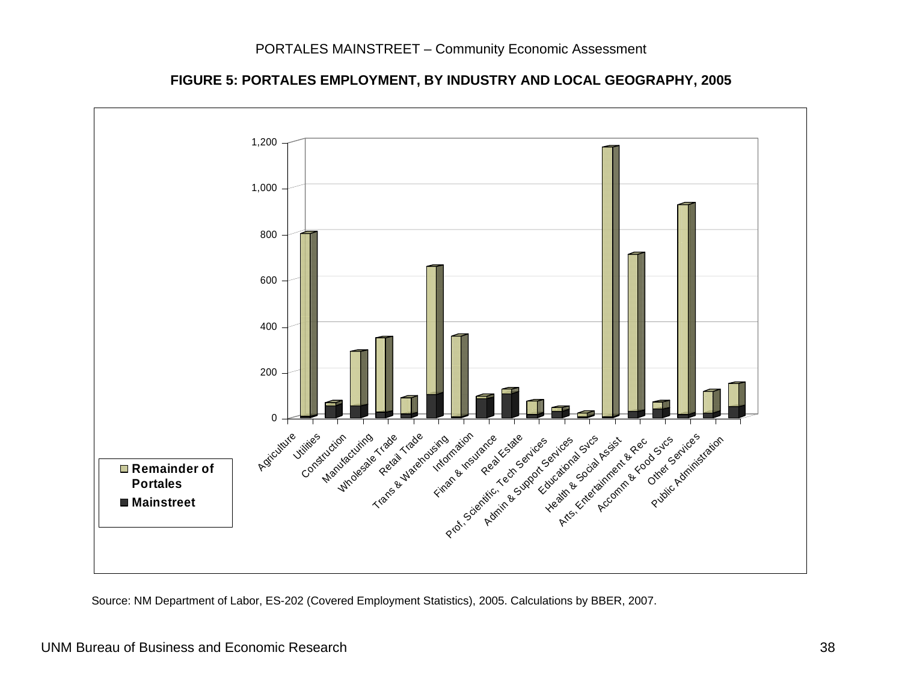

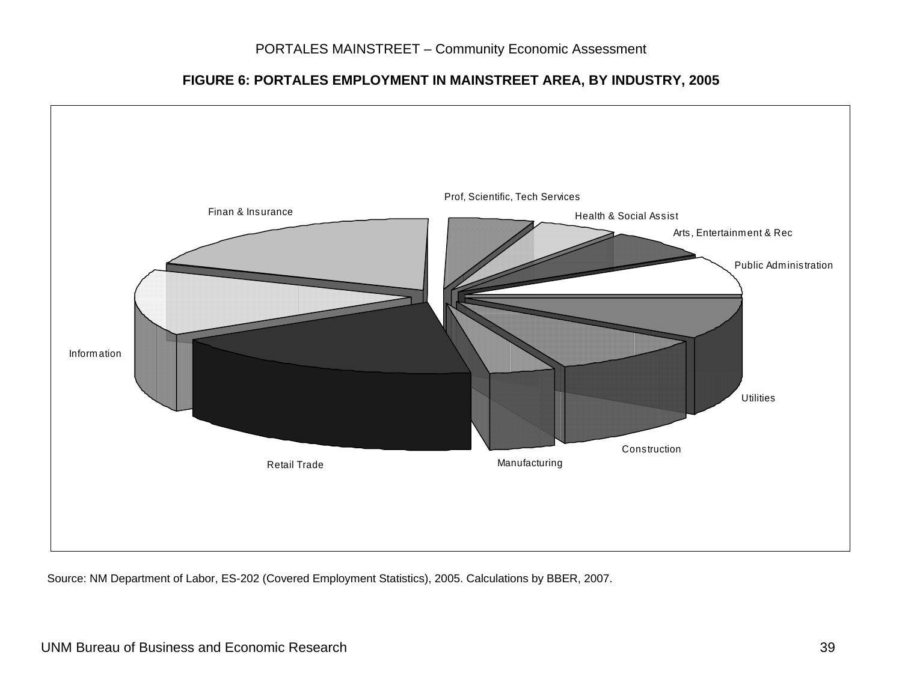#### **FIGURE 6: PORTALES EMPLOYMENT IN MAINSTREET AREA, BY INDUSTRY, 2005**

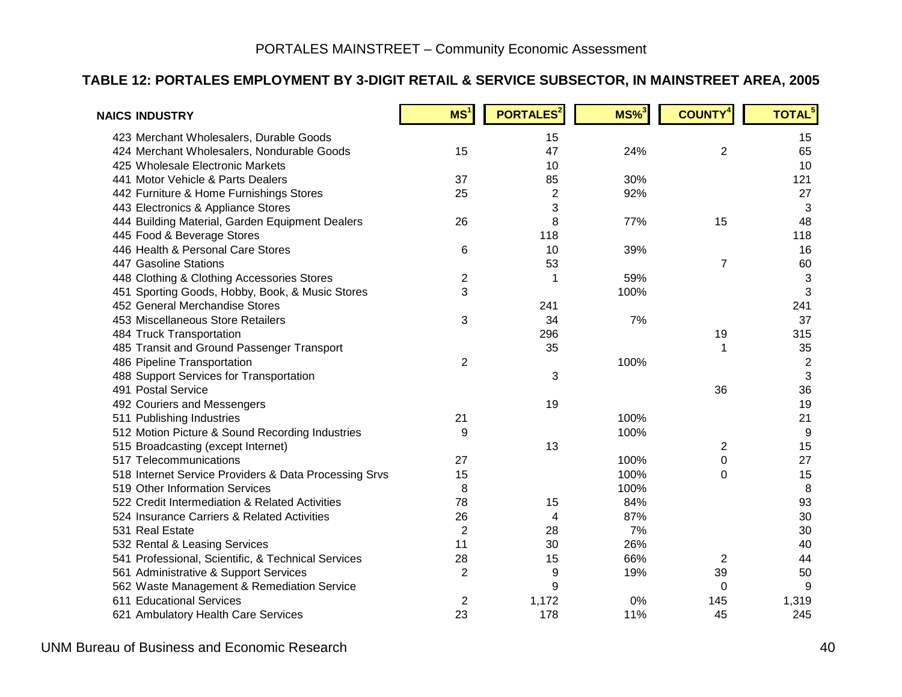#### **TABLE 12: PORTALES EMPLOYMENT BY 3-DIGIT RETAIL & SERVICE SUBSECTOR, IN MAINSTREET AREA, 2005**

| <b>NAICS INDUSTRY</b>                                 | MS <sup>1</sup>         | <b>PORTALES</b> <sup>2</sup> | $MS\%$ <sup>3</sup> | <b>COUNTY<sup>4</sup></b> | TOTAL <sup>5</sup> |
|-------------------------------------------------------|-------------------------|------------------------------|---------------------|---------------------------|--------------------|
| 423 Merchant Wholesalers, Durable Goods               |                         | 15                           |                     |                           | 15                 |
| 424 Merchant Wholesalers, Nondurable Goods            | 15                      | 47                           | 24%                 | $\overline{2}$            | 65                 |
| 425 Wholesale Electronic Markets                      |                         | 10                           |                     |                           | 10                 |
| 441 Motor Vehicle & Parts Dealers                     | 37                      | 85                           | 30%                 |                           | 121                |
| 442 Furniture & Home Furnishings Stores               | 25                      | $\overline{2}$               | 92%                 |                           | 27                 |
| 443 Electronics & Appliance Stores                    |                         | 3                            |                     |                           | 3                  |
| 444 Building Material, Garden Equipment Dealers       | 26                      | 8                            | 77%                 | 15                        | 48                 |
| 445 Food & Beverage Stores                            |                         | 118                          |                     |                           | 118                |
| 446 Health & Personal Care Stores                     | 6                       | 10                           | 39%                 |                           | 16                 |
| 447 Gasoline Stations                                 |                         | 53                           |                     | $\overline{7}$            | 60                 |
| 448 Clothing & Clothing Accessories Stores            | $\overline{\mathbf{c}}$ |                              | 59%                 |                           | $\sqrt{3}$         |
| 451 Sporting Goods, Hobby, Book, & Music Stores       | 3                       |                              | 100%                |                           | 3                  |
| 452 General Merchandise Stores                        |                         | 241                          |                     |                           | 241                |
| 453 Miscellaneous Store Retailers                     | 3                       | 34                           | 7%                  |                           | 37                 |
| 484 Truck Transportation                              |                         | 296                          |                     | 19                        | 315                |
| 485 Transit and Ground Passenger Transport            |                         | 35                           |                     | 1                         | 35                 |
| 486 Pipeline Transportation                           | 2                       |                              | 100%                |                           | $\overline{c}$     |
| 488 Support Services for Transportation               |                         | 3                            |                     |                           | 3                  |
| 491 Postal Service                                    |                         |                              |                     | 36                        | 36                 |
| 492 Couriers and Messengers                           |                         | 19                           |                     |                           | 19                 |
| 511 Publishing Industries                             | 21                      |                              | 100%                |                           | 21                 |
| 512 Motion Picture & Sound Recording Industries       | 9                       |                              | 100%                |                           | 9                  |
| 515 Broadcasting (except Internet)                    |                         | 13                           |                     | $\overline{\mathbf{c}}$   | 15                 |
| 517 Telecommunications                                | 27                      |                              | 100%                | 0                         | 27                 |
| 518 Internet Service Providers & Data Processing Srvs | 15                      |                              | 100%                | 0                         | 15                 |
| 519 Other Information Services                        | 8                       |                              | 100%                |                           | 8                  |
| 522 Credit Intermediation & Related Activities        | 78                      | 15                           | 84%                 |                           | 93                 |
| 524 Insurance Carriers & Related Activities           | 26                      | 4                            | 87%                 |                           | 30                 |
| 531 Real Estate                                       | $\overline{2}$          | 28                           | 7%                  |                           | 30                 |
| 532 Rental & Leasing Services                         | 11                      | 30                           | 26%                 |                           | 40                 |
| 541 Professional, Scientific, & Technical Services    | 28                      | 15                           | 66%                 | $\overline{2}$            | 44                 |
| 561 Administrative & Support Services                 | $\overline{2}$          | 9                            | 19%                 | 39                        | 50                 |
| 562 Waste Management & Remediation Service            |                         | 9                            |                     | 0                         | 9                  |
| 611 Educational Services                              | 2                       | 1,172                        | 0%                  | 145                       | 1,319              |
| 621 Ambulatory Health Care Services                   | 23                      | 178                          | 11%                 | 45                        | 245                |